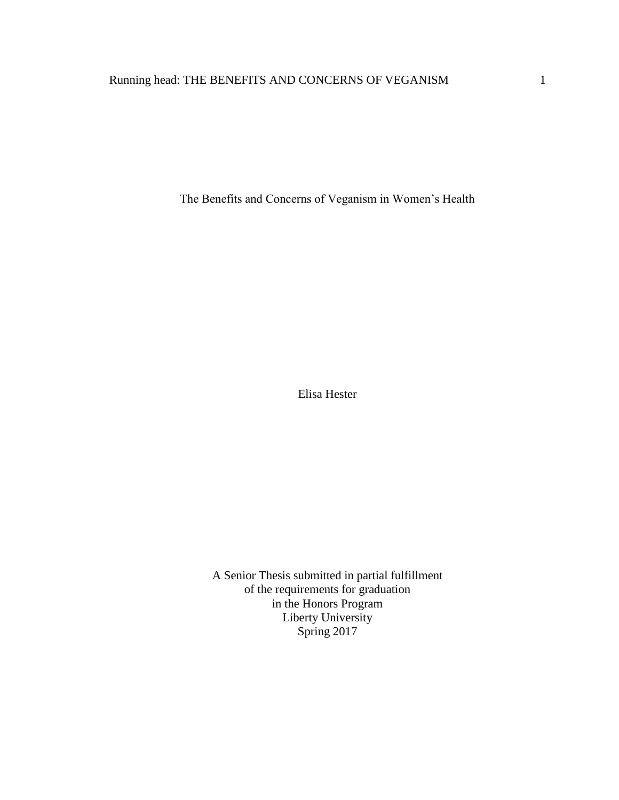The Benefits and Concerns of Veganism in Women's Health

Elisa Hester

A Senior Thesis submitted in partial fulfillment of the requirements for graduation in the Honors Program Liberty University Spring 2017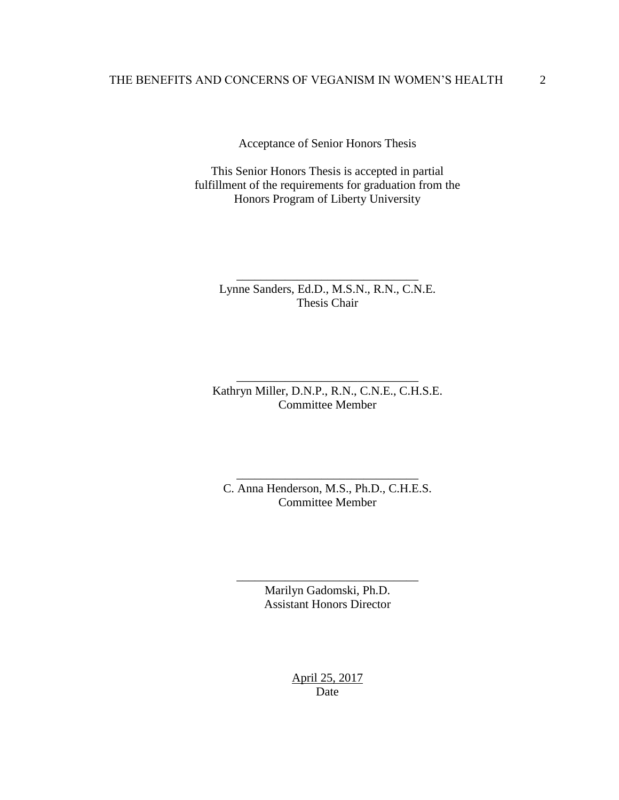# THE BENEFITS AND CONCERNS OF VEGANISM IN WOMEN'S HEALTH 2

Acceptance of Senior Honors Thesis

This Senior Honors Thesis is accepted in partial fulfillment of the requirements for graduation from the Honors Program of Liberty University

Lynne Sanders, Ed.D., M.S.N., R.N., C.N.E. Thesis Chair

\_\_\_\_\_\_\_\_\_\_\_\_\_\_\_\_\_\_\_\_\_\_\_\_\_\_\_\_\_\_

Kathryn Miller, D.N.P., R.N., C.N.E., C.H.S.E. Committee Member

\_\_\_\_\_\_\_\_\_\_\_\_\_\_\_\_\_\_\_\_\_\_\_\_\_\_\_\_\_\_

C. Anna Henderson, M.S., Ph.D., C.H.E.S. Committee Member

\_\_\_\_\_\_\_\_\_\_\_\_\_\_\_\_\_\_\_\_\_\_\_\_\_\_\_\_\_\_

Marilyn Gadomski, Ph.D. Assistant Honors Director

\_\_\_\_\_\_\_\_\_\_\_\_\_\_\_\_\_\_\_\_\_\_\_\_\_\_\_\_\_\_

April 25, 2017 Date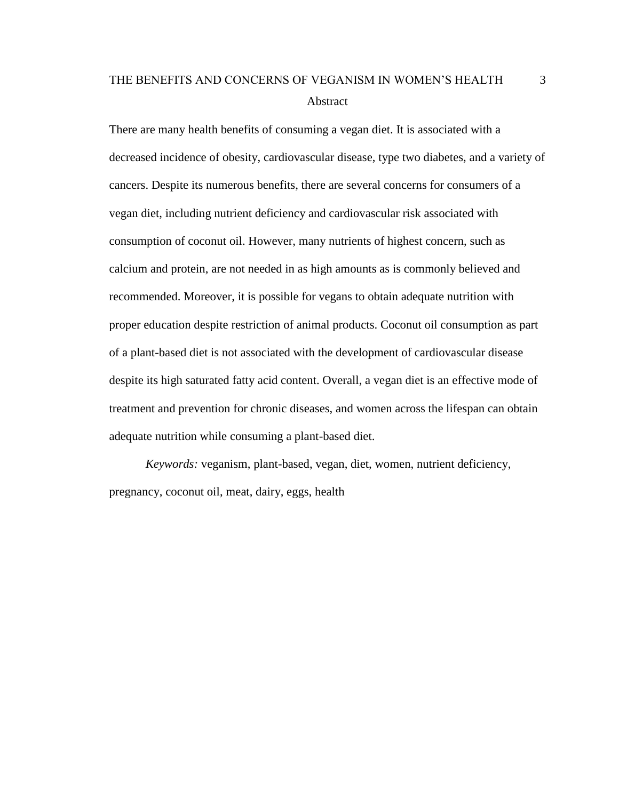# THE BENEFITS AND CONCERNS OF VEGANISM IN WOMEN'S HEALTH 3 Abstract

There are many health benefits of consuming a vegan diet. It is associated with a decreased incidence of obesity, cardiovascular disease, type two diabetes, and a variety of cancers. Despite its numerous benefits, there are several concerns for consumers of a vegan diet, including nutrient deficiency and cardiovascular risk associated with consumption of coconut oil. However, many nutrients of highest concern, such as calcium and protein, are not needed in as high amounts as is commonly believed and recommended. Moreover, it is possible for vegans to obtain adequate nutrition with proper education despite restriction of animal products. Coconut oil consumption as part of a plant-based diet is not associated with the development of cardiovascular disease despite its high saturated fatty acid content. Overall, a vegan diet is an effective mode of treatment and prevention for chronic diseases, and women across the lifespan can obtain adequate nutrition while consuming a plant-based diet.

*Keywords:* veganism, plant-based, vegan, diet, women, nutrient deficiency, pregnancy, coconut oil, meat, dairy, eggs, health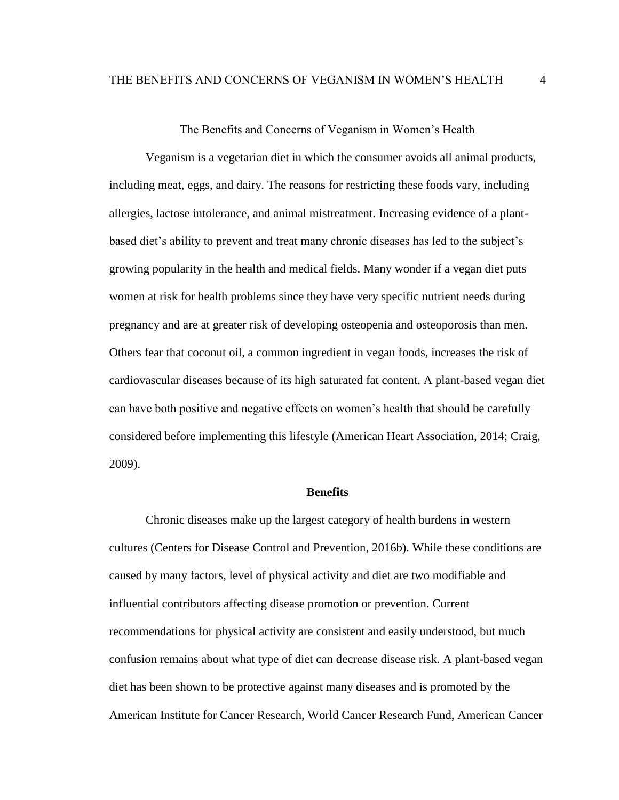The Benefits and Concerns of Veganism in Women's Health

Veganism is a vegetarian diet in which the consumer avoids all animal products, including meat, eggs, and dairy. The reasons for restricting these foods vary, including allergies, lactose intolerance, and animal mistreatment. Increasing evidence of a plantbased diet's ability to prevent and treat many chronic diseases has led to the subject's growing popularity in the health and medical fields. Many wonder if a vegan diet puts women at risk for health problems since they have very specific nutrient needs during pregnancy and are at greater risk of developing osteopenia and osteoporosis than men. Others fear that coconut oil, a common ingredient in vegan foods, increases the risk of cardiovascular diseases because of its high saturated fat content. A plant-based vegan diet can have both positive and negative effects on women's health that should be carefully considered before implementing this lifestyle (American Heart Association, 2014; Craig, 2009).

### **Benefits**

Chronic diseases make up the largest category of health burdens in western cultures (Centers for Disease Control and Prevention, 2016b). While these conditions are caused by many factors, level of physical activity and diet are two modifiable and influential contributors affecting disease promotion or prevention. Current recommendations for physical activity are consistent and easily understood, but much confusion remains about what type of diet can decrease disease risk. A plant-based vegan diet has been shown to be protective against many diseases and is promoted by the American Institute for Cancer Research, World Cancer Research Fund, American Cancer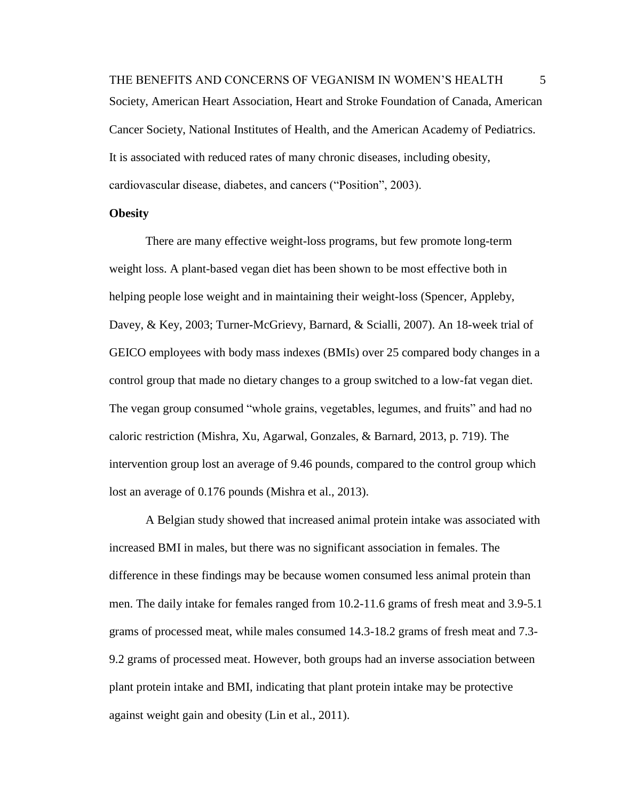THE BENEFITS AND CONCERNS OF VEGANISM IN WOMEN'S HEALTH 5 Society, American Heart Association, Heart and Stroke Foundation of Canada, American Cancer Society, National Institutes of Health, and the American Academy of Pediatrics. It is associated with reduced rates of many chronic diseases, including obesity, cardiovascular disease, diabetes, and cancers ("Position", 2003).

### **Obesity**

There are many effective weight-loss programs, but few promote long-term weight loss. A plant-based vegan diet has been shown to be most effective both in helping people lose weight and in maintaining their weight-loss (Spencer, Appleby, Davey, & Key, 2003; Turner-McGrievy, Barnard, & Scialli, 2007). An 18-week trial of GEICO employees with body mass indexes (BMIs) over 25 compared body changes in a control group that made no dietary changes to a group switched to a low-fat vegan diet. The vegan group consumed "whole grains, vegetables, legumes, and fruits" and had no caloric restriction (Mishra, Xu, Agarwal, Gonzales, & Barnard, 2013, p. 719). The intervention group lost an average of 9.46 pounds, compared to the control group which lost an average of 0.176 pounds (Mishra et al., 2013).

A Belgian study showed that increased animal protein intake was associated with increased BMI in males, but there was no significant association in females. The difference in these findings may be because women consumed less animal protein than men. The daily intake for females ranged from 10.2-11.6 grams of fresh meat and 3.9-5.1 grams of processed meat, while males consumed 14.3-18.2 grams of fresh meat and 7.3- 9.2 grams of processed meat. However, both groups had an inverse association between plant protein intake and BMI, indicating that plant protein intake may be protective against weight gain and obesity (Lin et al., 2011).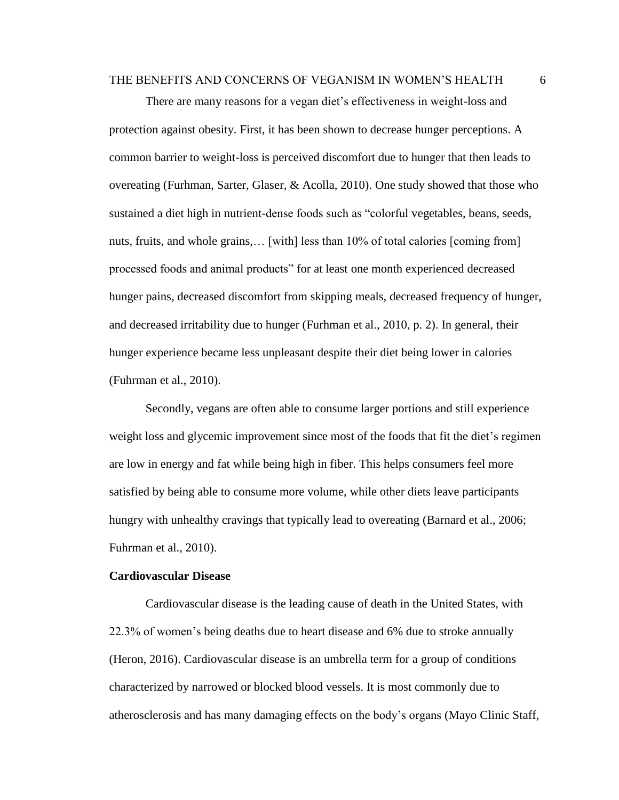### THE BENEFITS AND CONCERNS OF VEGANISM IN WOMEN'S HEALTH 6

There are many reasons for a vegan diet's effectiveness in weight-loss and protection against obesity. First, it has been shown to decrease hunger perceptions. A common barrier to weight-loss is perceived discomfort due to hunger that then leads to overeating (Furhman, Sarter, Glaser, & Acolla, 2010). One study showed that those who sustained a diet high in nutrient-dense foods such as "colorful vegetables, beans, seeds, nuts, fruits, and whole grains,... [with] less than 10% of total calories [coming from] processed foods and animal products" for at least one month experienced decreased hunger pains, decreased discomfort from skipping meals, decreased frequency of hunger, and decreased irritability due to hunger (Furhman et al., 2010, p. 2). In general, their hunger experience became less unpleasant despite their diet being lower in calories (Fuhrman et al., 2010).

Secondly, vegans are often able to consume larger portions and still experience weight loss and glycemic improvement since most of the foods that fit the diet's regimen are low in energy and fat while being high in fiber. This helps consumers feel more satisfied by being able to consume more volume, while other diets leave participants hungry with unhealthy cravings that typically lead to overeating (Barnard et al., 2006; Fuhrman et al., 2010).

#### **Cardiovascular Disease**

Cardiovascular disease is the leading cause of death in the United States, with 22.3% of women's being deaths due to heart disease and 6% due to stroke annually (Heron, 2016). Cardiovascular disease is an umbrella term for a group of conditions characterized by narrowed or blocked blood vessels. It is most commonly due to atherosclerosis and has many damaging effects on the body's organs (Mayo Clinic Staff,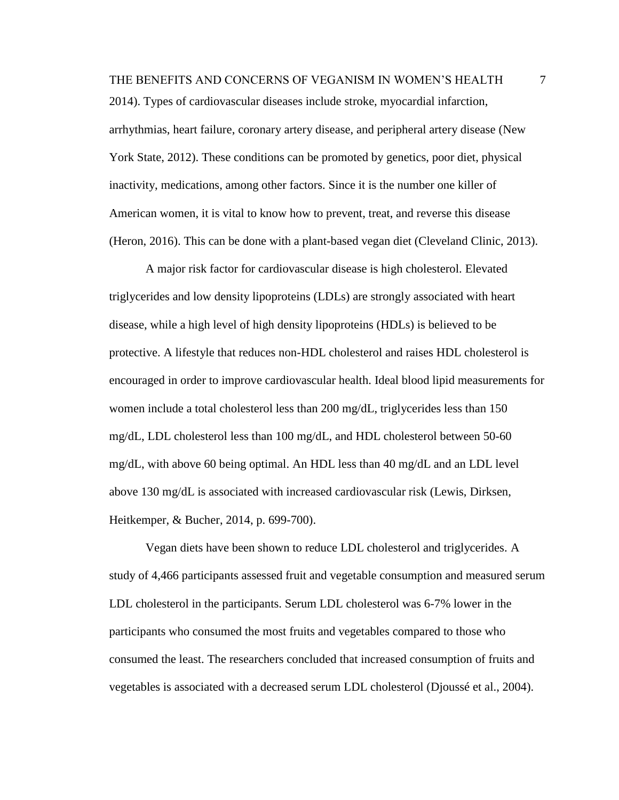# THE BENEFITS AND CONCERNS OF VEGANISM IN WOMEN'S HEALTH 7

2014). Types of cardiovascular diseases include stroke, myocardial infarction, arrhythmias, heart failure, coronary artery disease, and peripheral artery disease (New York State, 2012). These conditions can be promoted by genetics, poor diet, physical inactivity, medications, among other factors. Since it is the number one killer of American women, it is vital to know how to prevent, treat, and reverse this disease (Heron, 2016). This can be done with a plant-based vegan diet (Cleveland Clinic, 2013).

A major risk factor for cardiovascular disease is high cholesterol. Elevated triglycerides and low density lipoproteins (LDLs) are strongly associated with heart disease, while a high level of high density lipoproteins (HDLs) is believed to be protective. A lifestyle that reduces non-HDL cholesterol and raises HDL cholesterol is encouraged in order to improve cardiovascular health. Ideal blood lipid measurements for women include a total cholesterol less than 200 mg/dL, triglycerides less than 150 mg/dL, LDL cholesterol less than 100 mg/dL, and HDL cholesterol between 50-60 mg/dL, with above 60 being optimal. An HDL less than 40 mg/dL and an LDL level above 130 mg/dL is associated with increased cardiovascular risk (Lewis, Dirksen, Heitkemper, & Bucher, 2014, p. 699-700).

Vegan diets have been shown to reduce LDL cholesterol and triglycerides. A study of 4,466 participants assessed fruit and vegetable consumption and measured serum LDL cholesterol in the participants. Serum LDL cholesterol was 6-7% lower in the participants who consumed the most fruits and vegetables compared to those who consumed the least. The researchers concluded that increased consumption of fruits and vegetables is associated with a decreased serum LDL cholesterol (Djoussé et al., 2004).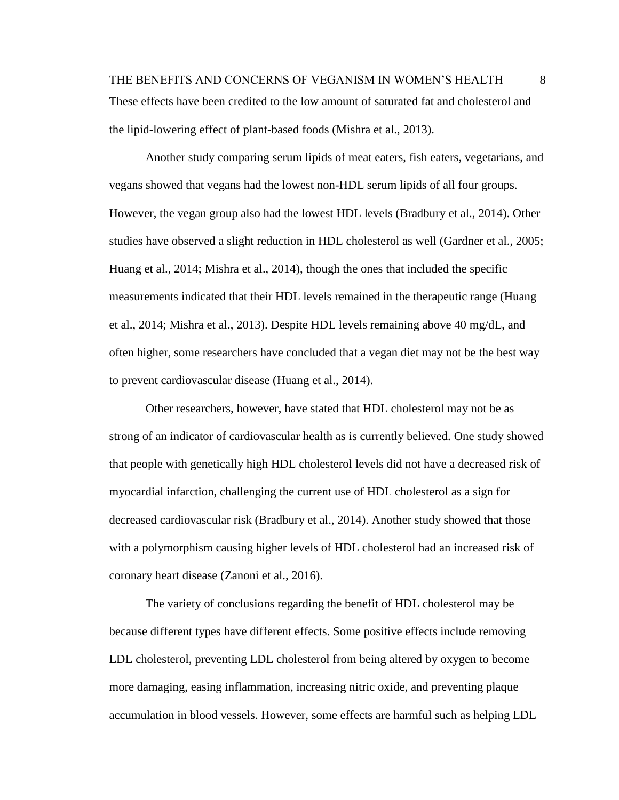Another study comparing serum lipids of meat eaters, fish eaters, vegetarians, and vegans showed that vegans had the lowest non-HDL serum lipids of all four groups. However, the vegan group also had the lowest HDL levels (Bradbury et al., 2014). Other studies have observed a slight reduction in HDL cholesterol as well (Gardner et al., 2005; Huang et al., 2014; Mishra et al., 2014), though the ones that included the specific measurements indicated that their HDL levels remained in the therapeutic range (Huang et al., 2014; Mishra et al., 2013). Despite HDL levels remaining above 40 mg/dL, and often higher, some researchers have concluded that a vegan diet may not be the best way to prevent cardiovascular disease (Huang et al., 2014).

Other researchers, however, have stated that HDL cholesterol may not be as strong of an indicator of cardiovascular health as is currently believed. One study showed that people with genetically high HDL cholesterol levels did not have a decreased risk of myocardial infarction, challenging the current use of HDL cholesterol as a sign for decreased cardiovascular risk (Bradbury et al., 2014). Another study showed that those with a polymorphism causing higher levels of HDL cholesterol had an increased risk of coronary heart disease (Zanoni et al., 2016).

The variety of conclusions regarding the benefit of HDL cholesterol may be because different types have different effects. Some positive effects include removing LDL cholesterol, preventing LDL cholesterol from being altered by oxygen to become more damaging, easing inflammation, increasing nitric oxide, and preventing plaque accumulation in blood vessels. However, some effects are harmful such as helping LDL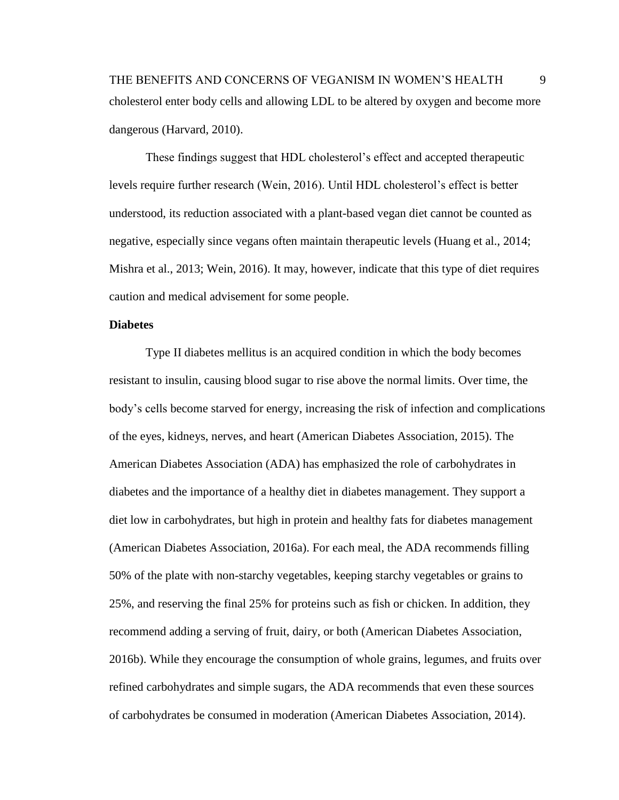THE BENEFITS AND CONCERNS OF VEGANISM IN WOMEN'S HEALTH 9 cholesterol enter body cells and allowing LDL to be altered by oxygen and become more dangerous (Harvard, 2010).

These findings suggest that HDL cholesterol's effect and accepted therapeutic levels require further research (Wein, 2016). Until HDL cholesterol's effect is better understood, its reduction associated with a plant-based vegan diet cannot be counted as negative, especially since vegans often maintain therapeutic levels (Huang et al., 2014; Mishra et al., 2013; Wein, 2016). It may, however, indicate that this type of diet requires caution and medical advisement for some people.

### **Diabetes**

Type II diabetes mellitus is an acquired condition in which the body becomes resistant to insulin, causing blood sugar to rise above the normal limits. Over time, the body's cells become starved for energy, increasing the risk of infection and complications of the eyes, kidneys, nerves, and heart (American Diabetes Association, 2015). The American Diabetes Association (ADA) has emphasized the role of carbohydrates in diabetes and the importance of a healthy diet in diabetes management. They support a diet low in carbohydrates, but high in protein and healthy fats for diabetes management (American Diabetes Association, 2016a). For each meal, the ADA recommends filling 50% of the plate with non-starchy vegetables, keeping starchy vegetables or grains to 25%, and reserving the final 25% for proteins such as fish or chicken. In addition, they recommend adding a serving of fruit, dairy, or both (American Diabetes Association, 2016b). While they encourage the consumption of whole grains, legumes, and fruits over refined carbohydrates and simple sugars, the ADA recommends that even these sources of carbohydrates be consumed in moderation (American Diabetes Association, 2014).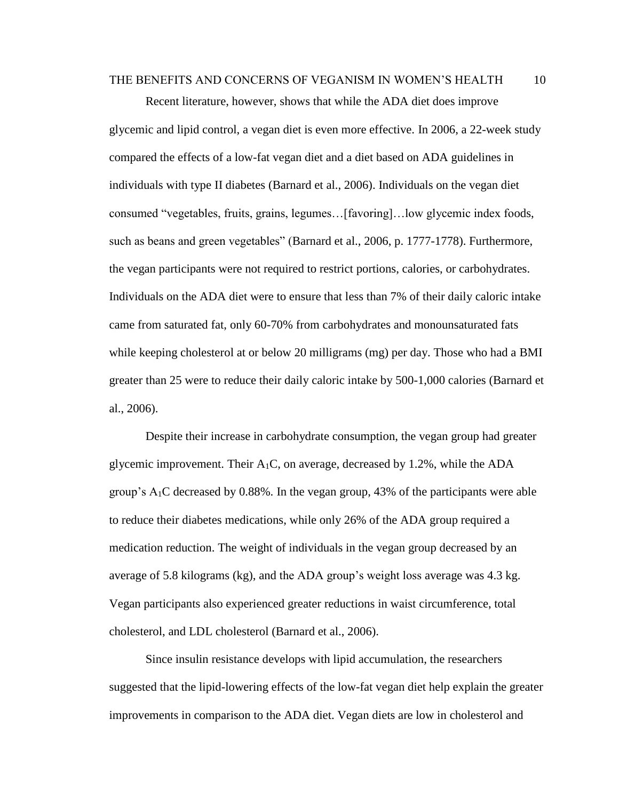## THE BENEFITS AND CONCERNS OF VEGANISM IN WOMEN'S HEALTH 10

Recent literature, however, shows that while the ADA diet does improve glycemic and lipid control, a vegan diet is even more effective. In 2006, a 22-week study compared the effects of a low-fat vegan diet and a diet based on ADA guidelines in individuals with type II diabetes (Barnard et al., 2006). Individuals on the vegan diet consumed "vegetables, fruits, grains, legumes…[favoring]…low glycemic index foods, such as beans and green vegetables" (Barnard et al., 2006, p. 1777-1778). Furthermore, the vegan participants were not required to restrict portions, calories, or carbohydrates. Individuals on the ADA diet were to ensure that less than 7% of their daily caloric intake came from saturated fat, only 60-70% from carbohydrates and monounsaturated fats while keeping cholesterol at or below 20 milligrams (mg) per day. Those who had a BMI greater than 25 were to reduce their daily caloric intake by 500-1,000 calories (Barnard et al., 2006).

Despite their increase in carbohydrate consumption, the vegan group had greater glycemic improvement. Their  $A_1C$ , on average, decreased by 1.2%, while the ADA group's A1C decreased by 0.88%. In the vegan group, 43% of the participants were able to reduce their diabetes medications, while only 26% of the ADA group required a medication reduction. The weight of individuals in the vegan group decreased by an average of 5.8 kilograms (kg), and the ADA group's weight loss average was 4.3 kg. Vegan participants also experienced greater reductions in waist circumference, total cholesterol, and LDL cholesterol (Barnard et al., 2006).

Since insulin resistance develops with lipid accumulation, the researchers suggested that the lipid-lowering effects of the low-fat vegan diet help explain the greater improvements in comparison to the ADA diet. Vegan diets are low in cholesterol and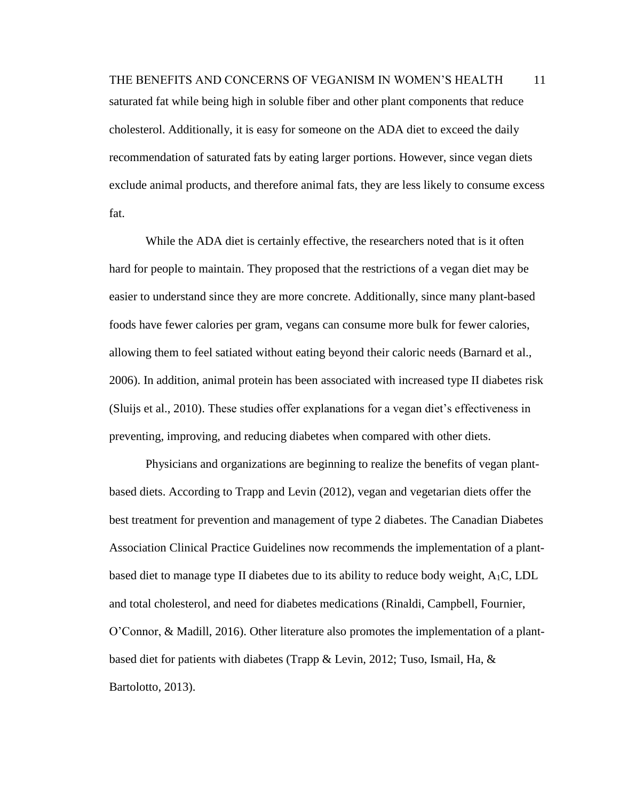THE BENEFITS AND CONCERNS OF VEGANISM IN WOMEN'S HEALTH 11 saturated fat while being high in soluble fiber and other plant components that reduce cholesterol. Additionally, it is easy for someone on the ADA diet to exceed the daily recommendation of saturated fats by eating larger portions. However, since vegan diets exclude animal products, and therefore animal fats, they are less likely to consume excess fat.

While the ADA diet is certainly effective, the researchers noted that is it often hard for people to maintain. They proposed that the restrictions of a vegan diet may be easier to understand since they are more concrete. Additionally, since many plant-based foods have fewer calories per gram, vegans can consume more bulk for fewer calories, allowing them to feel satiated without eating beyond their caloric needs (Barnard et al., 2006). In addition, animal protein has been associated with increased type II diabetes risk (Sluijs et al., 2010). These studies offer explanations for a vegan diet's effectiveness in preventing, improving, and reducing diabetes when compared with other diets.

Physicians and organizations are beginning to realize the benefits of vegan plantbased diets. According to Trapp and Levin (2012), vegan and vegetarian diets offer the best treatment for prevention and management of type 2 diabetes. The Canadian Diabetes Association Clinical Practice Guidelines now recommends the implementation of a plantbased diet to manage type II diabetes due to its ability to reduce body weight, A1C, LDL and total cholesterol, and need for diabetes medications (Rinaldi, Campbell, Fournier, O'Connor, & Madill, 2016). Other literature also promotes the implementation of a plantbased diet for patients with diabetes (Trapp & Levin, 2012; Tuso, Ismail, Ha,  $\&$ Bartolotto, 2013).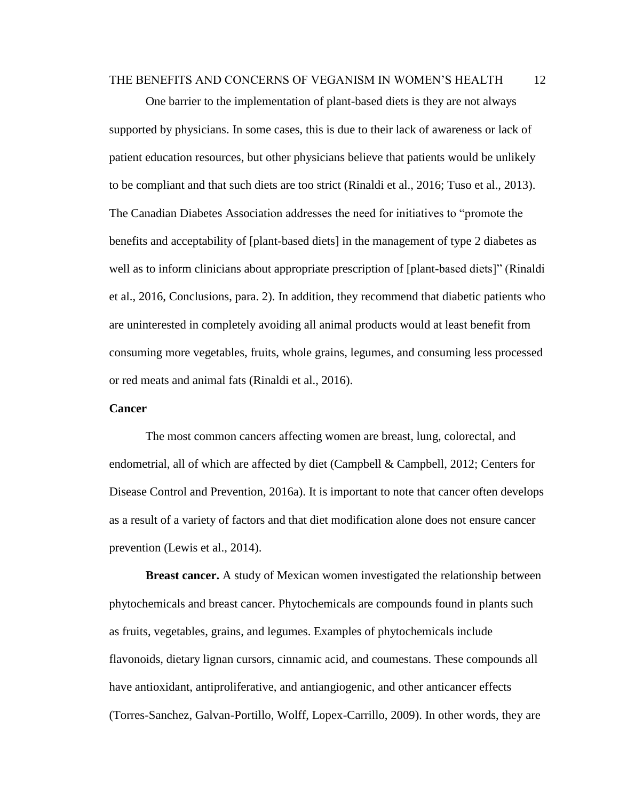THE BENEFITS AND CONCERNS OF VEGANISM IN WOMEN'S HEALTH 12

One barrier to the implementation of plant-based diets is they are not always supported by physicians. In some cases, this is due to their lack of awareness or lack of patient education resources, but other physicians believe that patients would be unlikely to be compliant and that such diets are too strict (Rinaldi et al., 2016; Tuso et al., 2013). The Canadian Diabetes Association addresses the need for initiatives to "promote the benefits and acceptability of [plant-based diets] in the management of type 2 diabetes as well as to inform clinicians about appropriate prescription of [plant-based diets]" (Rinaldi et al., 2016, Conclusions, para. 2). In addition, they recommend that diabetic patients who are uninterested in completely avoiding all animal products would at least benefit from consuming more vegetables, fruits, whole grains, legumes, and consuming less processed or red meats and animal fats (Rinaldi et al., 2016).

### **Cancer**

The most common cancers affecting women are breast, lung, colorectal, and endometrial, all of which are affected by diet (Campbell & Campbell, 2012; Centers for Disease Control and Prevention, 2016a). It is important to note that cancer often develops as a result of a variety of factors and that diet modification alone does not ensure cancer prevention (Lewis et al., 2014).

**Breast cancer.** A study of Mexican women investigated the relationship between phytochemicals and breast cancer. Phytochemicals are compounds found in plants such as fruits, vegetables, grains, and legumes. Examples of phytochemicals include flavonoids, dietary lignan cursors, cinnamic acid, and coumestans. These compounds all have antioxidant, antiproliferative, and antiangiogenic, and other anticancer effects (Torres-Sanchez, Galvan-Portillo, Wolff, Lopex-Carrillo, 2009). In other words, they are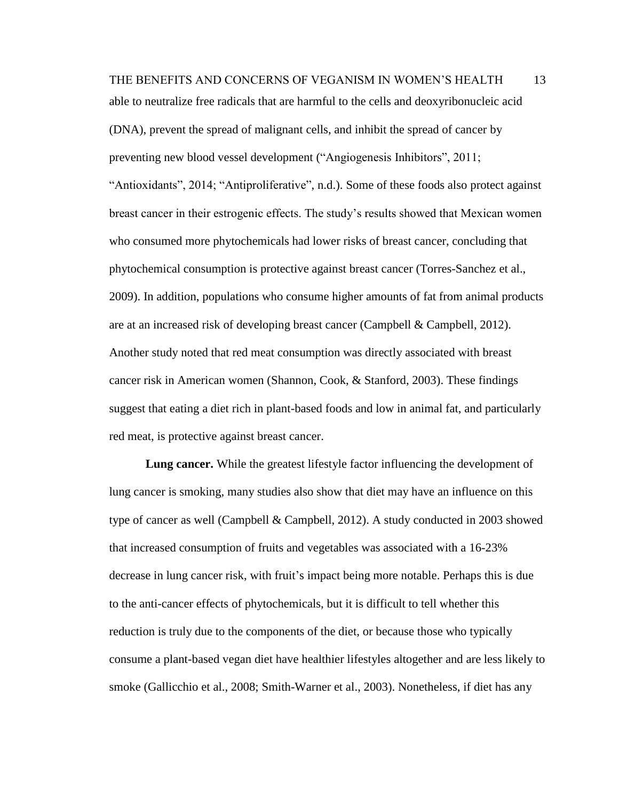THE BENEFITS AND CONCERNS OF VEGANISM IN WOMEN'S HEALTH 13 able to neutralize free radicals that are harmful to the cells and deoxyribonucleic acid (DNA), prevent the spread of malignant cells, and inhibit the spread of cancer by preventing new blood vessel development ("Angiogenesis Inhibitors", 2011; "Antioxidants", 2014; "Antiproliferative", n.d.). Some of these foods also protect against breast cancer in their estrogenic effects. The study's results showed that Mexican women who consumed more phytochemicals had lower risks of breast cancer, concluding that phytochemical consumption is protective against breast cancer (Torres-Sanchez et al., 2009). In addition, populations who consume higher amounts of fat from animal products are at an increased risk of developing breast cancer (Campbell & Campbell, 2012). Another study noted that red meat consumption was directly associated with breast cancer risk in American women (Shannon, Cook, & Stanford, 2003). These findings suggest that eating a diet rich in plant-based foods and low in animal fat, and particularly red meat, is protective against breast cancer.

**Lung cancer.** While the greatest lifestyle factor influencing the development of lung cancer is smoking, many studies also show that diet may have an influence on this type of cancer as well (Campbell & Campbell, 2012). A study conducted in 2003 showed that increased consumption of fruits and vegetables was associated with a 16-23% decrease in lung cancer risk, with fruit's impact being more notable. Perhaps this is due to the anti-cancer effects of phytochemicals, but it is difficult to tell whether this reduction is truly due to the components of the diet, or because those who typically consume a plant-based vegan diet have healthier lifestyles altogether and are less likely to smoke (Gallicchio et al., 2008; Smith-Warner et al., 2003). Nonetheless, if diet has any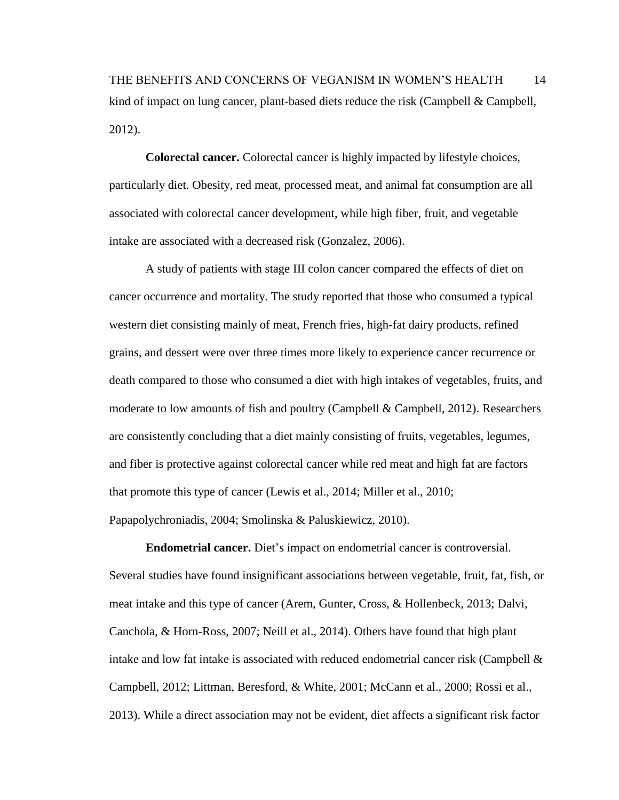THE BENEFITS AND CONCERNS OF VEGANISM IN WOMEN'S HEALTH 14 kind of impact on lung cancer, plant-based diets reduce the risk (Campbell & Campbell, 2012).

**Colorectal cancer.** Colorectal cancer is highly impacted by lifestyle choices, particularly diet. Obesity, red meat, processed meat, and animal fat consumption are all associated with colorectal cancer development, while high fiber, fruit, and vegetable intake are associated with a decreased risk (Gonzalez, 2006).

A study of patients with stage III colon cancer compared the effects of diet on cancer occurrence and mortality. The study reported that those who consumed a typical western diet consisting mainly of meat, French fries, high-fat dairy products, refined grains, and dessert were over three times more likely to experience cancer recurrence or death compared to those who consumed a diet with high intakes of vegetables, fruits, and moderate to low amounts of fish and poultry (Campbell & Campbell, 2012). Researchers are consistently concluding that a diet mainly consisting of fruits, vegetables, legumes, and fiber is protective against colorectal cancer while red meat and high fat are factors that promote this type of cancer (Lewis et al., 2014; Miller et al., 2010; Papapolychroniadis, 2004; Smolinska & Paluskiewicz, 2010).

**Endometrial cancer.** Diet's impact on endometrial cancer is controversial. Several studies have found insignificant associations between vegetable, fruit, fat, fish, or meat intake and this type of cancer (Arem, Gunter, Cross, & Hollenbeck, 2013; Dalvi, Canchola, & Horn-Ross, 2007; Neill et al., 2014). Others have found that high plant intake and low fat intake is associated with reduced endometrial cancer risk (Campbell  $\&$ Campbell, 2012; Littman, Beresford, & White, 2001; McCann et al., 2000; Rossi et al., 2013). While a direct association may not be evident, diet affects a significant risk factor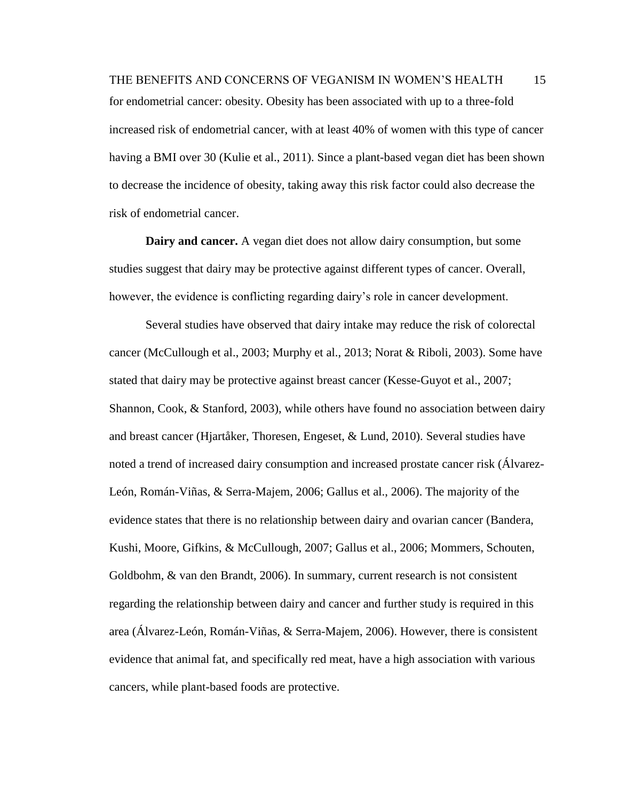THE BENEFITS AND CONCERNS OF VEGANISM IN WOMEN'S HEALTH 15 for endometrial cancer: obesity. Obesity has been associated with up to a three-fold increased risk of endometrial cancer, with at least 40% of women with this type of cancer having a BMI over 30 (Kulie et al., 2011). Since a plant-based vegan diet has been shown to decrease the incidence of obesity, taking away this risk factor could also decrease the risk of endometrial cancer.

**Dairy and cancer.** A vegan diet does not allow dairy consumption, but some studies suggest that dairy may be protective against different types of cancer. Overall, however, the evidence is conflicting regarding dairy's role in cancer development.

Several studies have observed that dairy intake may reduce the risk of colorectal cancer (McCullough et al., 2003; Murphy et al., 2013; Norat & Riboli, 2003). Some have stated that dairy may be protective against breast cancer (Kesse-Guyot et al., 2007; Shannon, Cook, & Stanford, 2003), while others have found no association between dairy and breast cancer (Hjartåker, Thoresen, Engeset, & Lund, 2010). Several studies have noted a trend of increased dairy consumption and increased prostate cancer risk (Álvarez-León, Román-Viñas, & Serra-Majem, 2006; Gallus et al., 2006). The majority of the evidence states that there is no relationship between dairy and ovarian cancer (Bandera, Kushi, Moore, Gifkins, & McCullough, 2007; Gallus et al., 2006; Mommers, Schouten, Goldbohm, & van den Brandt, 2006). In summary, current research is not consistent regarding the relationship between dairy and cancer and further study is required in this area (Álvarez-León, Román-Viñas, & Serra-Majem, 2006). However, there is consistent evidence that animal fat, and specifically red meat, have a high association with various cancers, while plant-based foods are protective.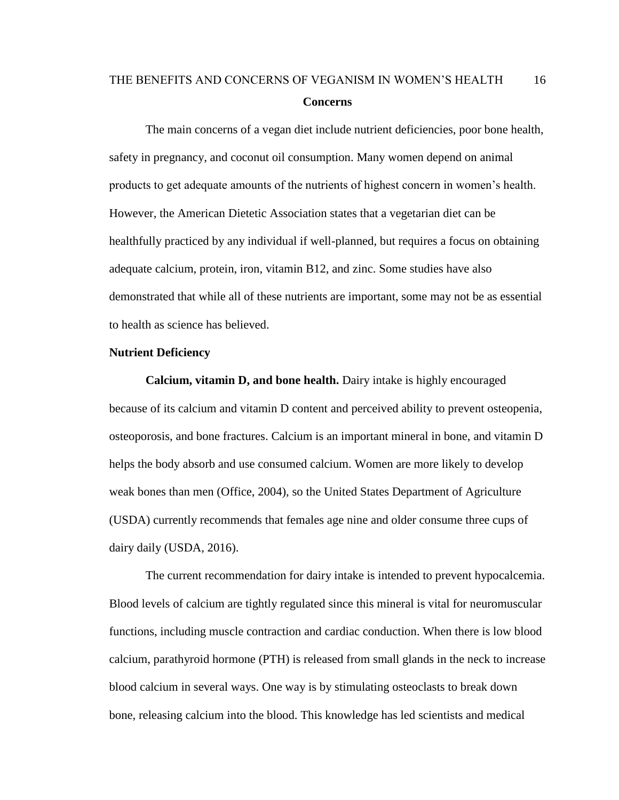# THE BENEFITS AND CONCERNS OF VEGANISM IN WOMEN'S HEALTH 16 **Concerns**

The main concerns of a vegan diet include nutrient deficiencies, poor bone health, safety in pregnancy, and coconut oil consumption. Many women depend on animal products to get adequate amounts of the nutrients of highest concern in women's health. However, the American Dietetic Association states that a vegetarian diet can be healthfully practiced by any individual if well-planned, but requires a focus on obtaining adequate calcium, protein, iron, vitamin B12, and zinc. Some studies have also demonstrated that while all of these nutrients are important, some may not be as essential to health as science has believed.

# **Nutrient Deficiency**

**Calcium, vitamin D, and bone health.** Dairy intake is highly encouraged because of its calcium and vitamin D content and perceived ability to prevent osteopenia, osteoporosis, and bone fractures. Calcium is an important mineral in bone, and vitamin D helps the body absorb and use consumed calcium. Women are more likely to develop weak bones than men (Office, 2004), so the United States Department of Agriculture (USDA) currently recommends that females age nine and older consume three cups of dairy daily (USDA, 2016).

The current recommendation for dairy intake is intended to prevent hypocalcemia. Blood levels of calcium are tightly regulated since this mineral is vital for neuromuscular functions, including muscle contraction and cardiac conduction. When there is low blood calcium, parathyroid hormone (PTH) is released from small glands in the neck to increase blood calcium in several ways. One way is by stimulating osteoclasts to break down bone, releasing calcium into the blood. This knowledge has led scientists and medical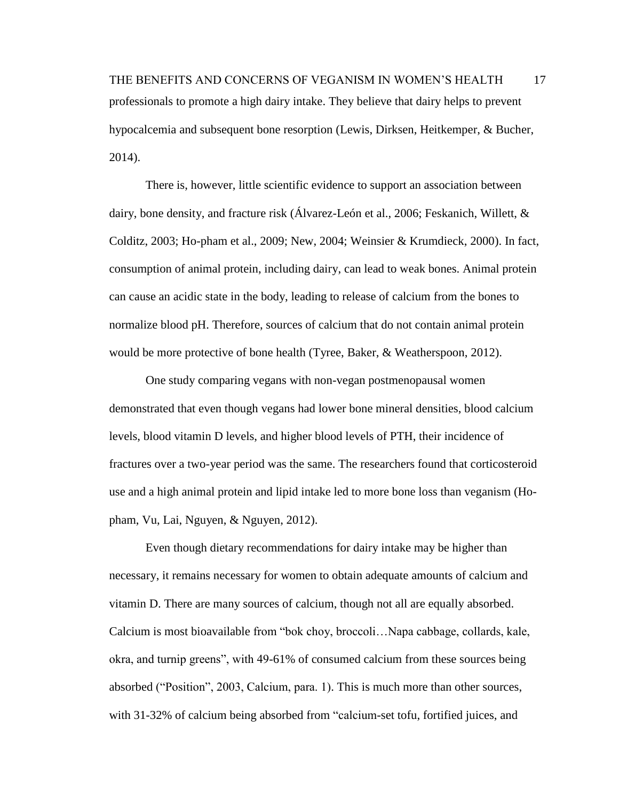THE BENEFITS AND CONCERNS OF VEGANISM IN WOMEN'S HEALTH 17 professionals to promote a high dairy intake. They believe that dairy helps to prevent hypocalcemia and subsequent bone resorption (Lewis, Dirksen, Heitkemper, & Bucher, 2014).

There is, however, little scientific evidence to support an association between dairy, bone density, and fracture risk (Álvarez-León et al., 2006; Feskanich, Willett, & Colditz, 2003; Ho-pham et al., 2009; New, 2004; Weinsier & Krumdieck, 2000). In fact, consumption of animal protein, including dairy, can lead to weak bones. Animal protein can cause an acidic state in the body, leading to release of calcium from the bones to normalize blood pH. Therefore, sources of calcium that do not contain animal protein would be more protective of bone health (Tyree, Baker, & Weatherspoon, 2012).

One study comparing vegans with non-vegan postmenopausal women demonstrated that even though vegans had lower bone mineral densities, blood calcium levels, blood vitamin D levels, and higher blood levels of PTH, their incidence of fractures over a two-year period was the same. The researchers found that corticosteroid use and a high animal protein and lipid intake led to more bone loss than veganism (Hopham, Vu, Lai, Nguyen, & Nguyen, 2012).

Even though dietary recommendations for dairy intake may be higher than necessary, it remains necessary for women to obtain adequate amounts of calcium and vitamin D. There are many sources of calcium, though not all are equally absorbed. Calcium is most bioavailable from "bok choy, broccoli…Napa cabbage, collards, kale, okra, and turnip greens", with 49-61% of consumed calcium from these sources being absorbed ("Position", 2003, Calcium, para. 1). This is much more than other sources, with 31-32% of calcium being absorbed from "calcium-set tofu, fortified juices, and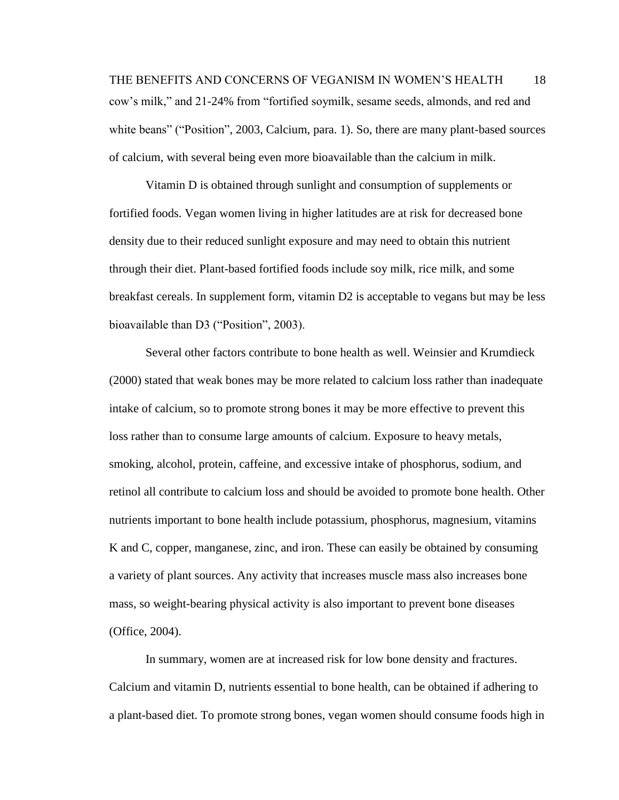THE BENEFITS AND CONCERNS OF VEGANISM IN WOMEN'S HEALTH 18 cow's milk," and 21-24% from "fortified soymilk, sesame seeds, almonds, and red and white beans" ("Position", 2003, Calcium, para. 1). So, there are many plant-based sources of calcium, with several being even more bioavailable than the calcium in milk.

Vitamin D is obtained through sunlight and consumption of supplements or fortified foods. Vegan women living in higher latitudes are at risk for decreased bone density due to their reduced sunlight exposure and may need to obtain this nutrient through their diet. Plant-based fortified foods include soy milk, rice milk, and some breakfast cereals. In supplement form, vitamin D2 is acceptable to vegans but may be less bioavailable than D3 ("Position", 2003).

Several other factors contribute to bone health as well. Weinsier and Krumdieck (2000) stated that weak bones may be more related to calcium loss rather than inadequate intake of calcium, so to promote strong bones it may be more effective to prevent this loss rather than to consume large amounts of calcium. Exposure to heavy metals, smoking, alcohol, protein, caffeine, and excessive intake of phosphorus, sodium, and retinol all contribute to calcium loss and should be avoided to promote bone health. Other nutrients important to bone health include potassium, phosphorus, magnesium, vitamins K and C, copper, manganese, zinc, and iron. These can easily be obtained by consuming a variety of plant sources. Any activity that increases muscle mass also increases bone mass, so weight-bearing physical activity is also important to prevent bone diseases (Office, 2004).

In summary, women are at increased risk for low bone density and fractures. Calcium and vitamin D, nutrients essential to bone health, can be obtained if adhering to a plant-based diet. To promote strong bones, vegan women should consume foods high in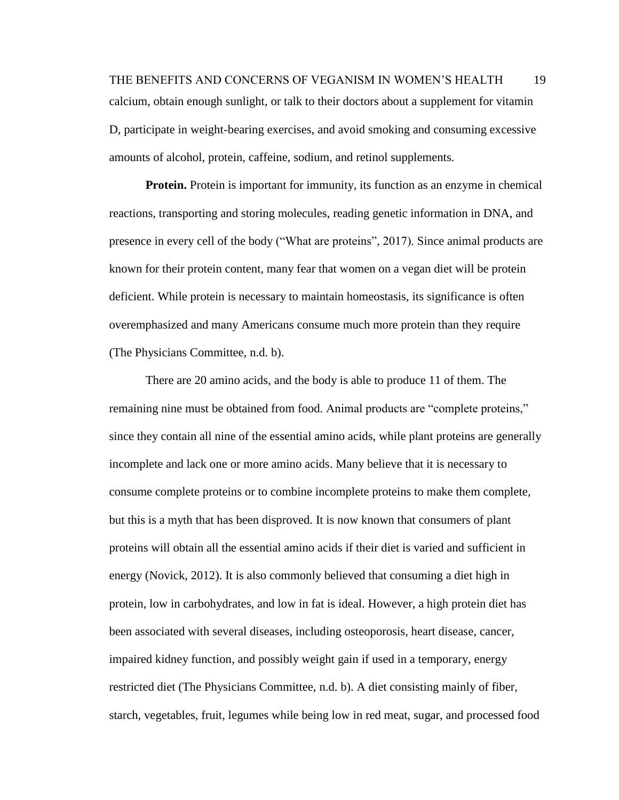THE BENEFITS AND CONCERNS OF VEGANISM IN WOMEN'S HEALTH 19 calcium, obtain enough sunlight, or talk to their doctors about a supplement for vitamin D, participate in weight-bearing exercises, and avoid smoking and consuming excessive amounts of alcohol, protein, caffeine, sodium, and retinol supplements.

**Protein.** Protein is important for immunity, its function as an enzyme in chemical reactions, transporting and storing molecules, reading genetic information in DNA, and presence in every cell of the body ("What are proteins", 2017). Since animal products are known for their protein content, many fear that women on a vegan diet will be protein deficient. While protein is necessary to maintain homeostasis, its significance is often overemphasized and many Americans consume much more protein than they require (The Physicians Committee, n.d. b).

There are 20 amino acids, and the body is able to produce 11 of them. The remaining nine must be obtained from food. Animal products are "complete proteins," since they contain all nine of the essential amino acids, while plant proteins are generally incomplete and lack one or more amino acids. Many believe that it is necessary to consume complete proteins or to combine incomplete proteins to make them complete, but this is a myth that has been disproved. It is now known that consumers of plant proteins will obtain all the essential amino acids if their diet is varied and sufficient in energy (Novick, 2012). It is also commonly believed that consuming a diet high in protein, low in carbohydrates, and low in fat is ideal. However, a high protein diet has been associated with several diseases, including osteoporosis, heart disease, cancer, impaired kidney function, and possibly weight gain if used in a temporary, energy restricted diet (The Physicians Committee, n.d. b). A diet consisting mainly of fiber, starch, vegetables, fruit, legumes while being low in red meat, sugar, and processed food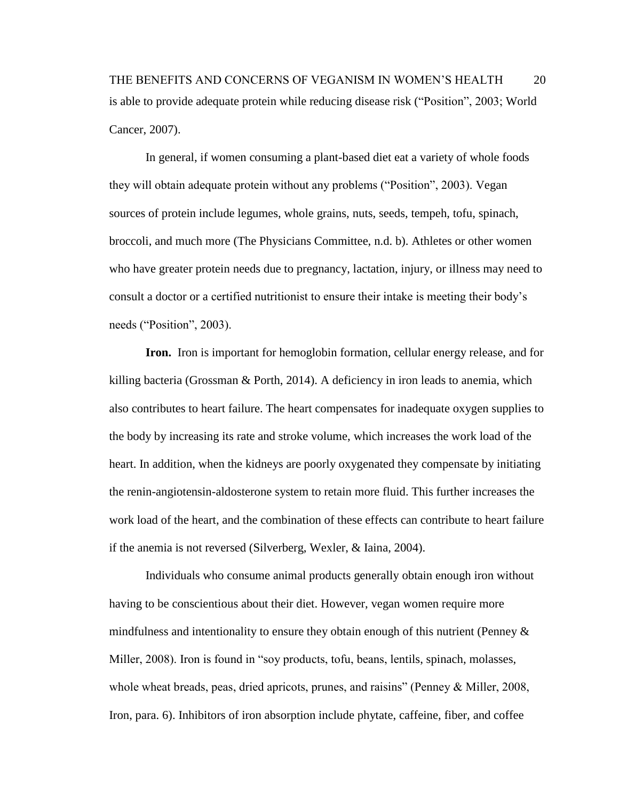THE BENEFITS AND CONCERNS OF VEGANISM IN WOMEN'S HEALTH 20 is able to provide adequate protein while reducing disease risk ("Position", 2003; World Cancer, 2007).

In general, if women consuming a plant-based diet eat a variety of whole foods they will obtain adequate protein without any problems ("Position", 2003). Vegan sources of protein include legumes, whole grains, nuts, seeds, tempeh, tofu, spinach, broccoli, and much more (The Physicians Committee, n.d. b). Athletes or other women who have greater protein needs due to pregnancy, lactation, injury, or illness may need to consult a doctor or a certified nutritionist to ensure their intake is meeting their body's needs ("Position", 2003).

**Iron.** Iron is important for hemoglobin formation, cellular energy release, and for killing bacteria (Grossman & Porth, 2014). A deficiency in iron leads to anemia, which also contributes to heart failure. The heart compensates for inadequate oxygen supplies to the body by increasing its rate and stroke volume, which increases the work load of the heart. In addition, when the kidneys are poorly oxygenated they compensate by initiating the renin-angiotensin-aldosterone system to retain more fluid. This further increases the work load of the heart, and the combination of these effects can contribute to heart failure if the anemia is not reversed (Silverberg, Wexler, & Iaina, 2004).

Individuals who consume animal products generally obtain enough iron without having to be conscientious about their diet. However, vegan women require more mindfulness and intentionality to ensure they obtain enough of this nutrient (Penney  $\&$ Miller, 2008). Iron is found in "soy products, tofu, beans, lentils, spinach, molasses, whole wheat breads, peas, dried apricots, prunes, and raisins" (Penney & Miller, 2008, Iron, para. 6). Inhibitors of iron absorption include phytate, caffeine, fiber, and coffee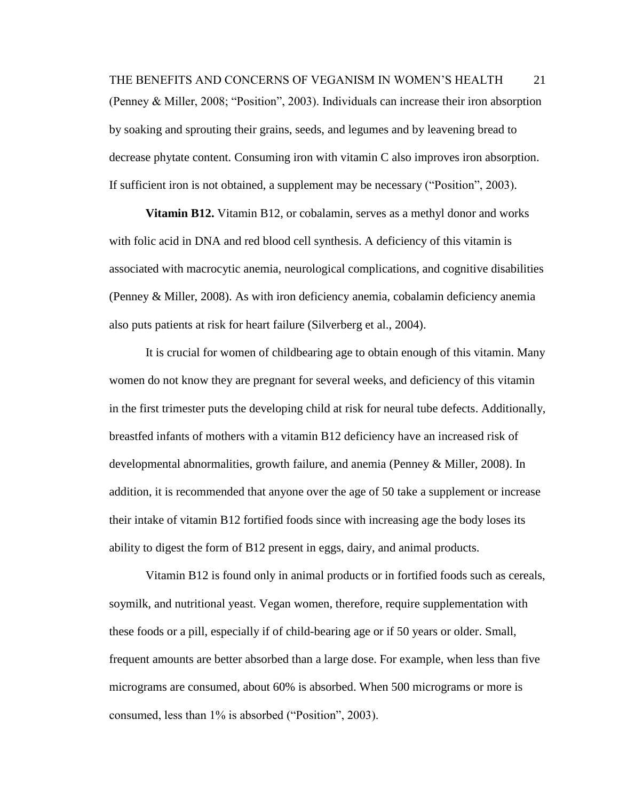THE BENEFITS AND CONCERNS OF VEGANISM IN WOMEN'S HEALTH 21 (Penney & Miller, 2008; "Position", 2003). Individuals can increase their iron absorption by soaking and sprouting their grains, seeds, and legumes and by leavening bread to decrease phytate content. Consuming iron with vitamin C also improves iron absorption. If sufficient iron is not obtained, a supplement may be necessary ("Position", 2003).

**Vitamin B12.** Vitamin B12, or cobalamin, serves as a methyl donor and works with folic acid in DNA and red blood cell synthesis. A deficiency of this vitamin is associated with macrocytic anemia, neurological complications, and cognitive disabilities (Penney & Miller, 2008). As with iron deficiency anemia, cobalamin deficiency anemia also puts patients at risk for heart failure (Silverberg et al., 2004).

It is crucial for women of childbearing age to obtain enough of this vitamin. Many women do not know they are pregnant for several weeks, and deficiency of this vitamin in the first trimester puts the developing child at risk for neural tube defects. Additionally, breastfed infants of mothers with a vitamin B12 deficiency have an increased risk of developmental abnormalities, growth failure, and anemia (Penney & Miller, 2008). In addition, it is recommended that anyone over the age of 50 take a supplement or increase their intake of vitamin B12 fortified foods since with increasing age the body loses its ability to digest the form of B12 present in eggs, dairy, and animal products.

Vitamin B12 is found only in animal products or in fortified foods such as cereals, soymilk, and nutritional yeast. Vegan women, therefore, require supplementation with these foods or a pill, especially if of child-bearing age or if 50 years or older. Small, frequent amounts are better absorbed than a large dose. For example, when less than five micrograms are consumed, about 60% is absorbed. When 500 micrograms or more is consumed, less than 1% is absorbed ("Position", 2003).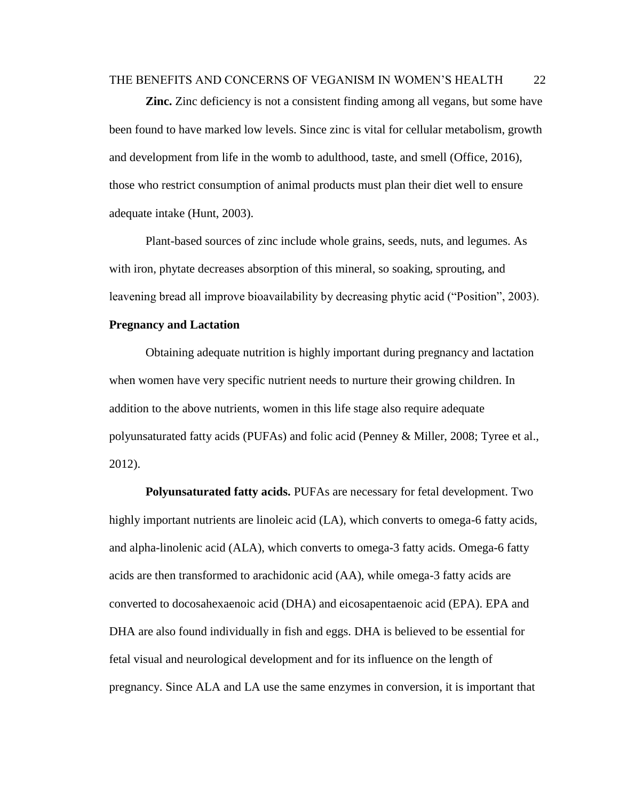### THE BENEFITS AND CONCERNS OF VEGANISM IN WOMEN'S HEALTH 22

**Zinc.** Zinc deficiency is not a consistent finding among all vegans, but some have been found to have marked low levels. Since zinc is vital for cellular metabolism, growth and development from life in the womb to adulthood, taste, and smell (Office, 2016), those who restrict consumption of animal products must plan their diet well to ensure adequate intake (Hunt, 2003).

Plant-based sources of zinc include whole grains, seeds, nuts, and legumes. As with iron, phytate decreases absorption of this mineral, so soaking, sprouting, and leavening bread all improve bioavailability by decreasing phytic acid ("Position", 2003).

### **Pregnancy and Lactation**

Obtaining adequate nutrition is highly important during pregnancy and lactation when women have very specific nutrient needs to nurture their growing children. In addition to the above nutrients, women in this life stage also require adequate polyunsaturated fatty acids (PUFAs) and folic acid (Penney & Miller, 2008; Tyree et al., 2012).

**Polyunsaturated fatty acids.** PUFAs are necessary for fetal development. Two highly important nutrients are linoleic acid (LA), which converts to omega-6 fatty acids, and alpha-linolenic acid (ALA), which converts to omega-3 fatty acids. Omega-6 fatty acids are then transformed to arachidonic acid (AA), while omega-3 fatty acids are converted to docosahexaenoic acid (DHA) and eicosapentaenoic acid (EPA). EPA and DHA are also found individually in fish and eggs. DHA is believed to be essential for fetal visual and neurological development and for its influence on the length of pregnancy. Since ALA and LA use the same enzymes in conversion, it is important that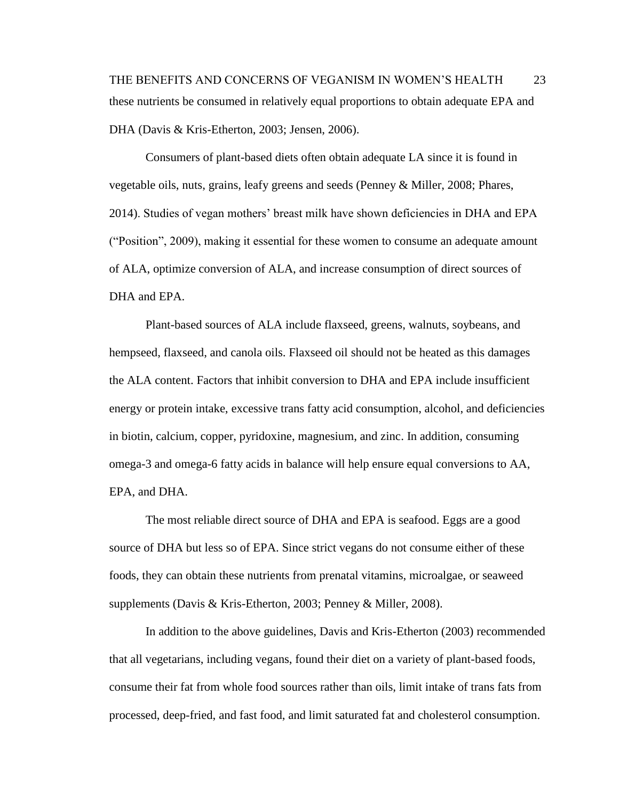THE BENEFITS AND CONCERNS OF VEGANISM IN WOMEN'S HEALTH 23 these nutrients be consumed in relatively equal proportions to obtain adequate EPA and DHA (Davis & Kris-Etherton, 2003; Jensen, 2006).

Consumers of plant-based diets often obtain adequate LA since it is found in vegetable oils, nuts, grains, leafy greens and seeds (Penney & Miller, 2008; Phares, 2014). Studies of vegan mothers' breast milk have shown deficiencies in DHA and EPA ("Position", 2009), making it essential for these women to consume an adequate amount of ALA, optimize conversion of ALA, and increase consumption of direct sources of DHA and EPA.

Plant-based sources of ALA include flaxseed, greens, walnuts, soybeans, and hempseed, flaxseed, and canola oils. Flaxseed oil should not be heated as this damages the ALA content. Factors that inhibit conversion to DHA and EPA include insufficient energy or protein intake, excessive trans fatty acid consumption, alcohol, and deficiencies in biotin, calcium, copper, pyridoxine, magnesium, and zinc. In addition, consuming omega-3 and omega-6 fatty acids in balance will help ensure equal conversions to AA, EPA, and DHA.

The most reliable direct source of DHA and EPA is seafood. Eggs are a good source of DHA but less so of EPA. Since strict vegans do not consume either of these foods, they can obtain these nutrients from prenatal vitamins, microalgae, or seaweed supplements (Davis & Kris-Etherton, 2003; Penney & Miller, 2008).

In addition to the above guidelines, Davis and Kris-Etherton (2003) recommended that all vegetarians, including vegans, found their diet on a variety of plant-based foods, consume their fat from whole food sources rather than oils, limit intake of trans fats from processed, deep-fried, and fast food, and limit saturated fat and cholesterol consumption.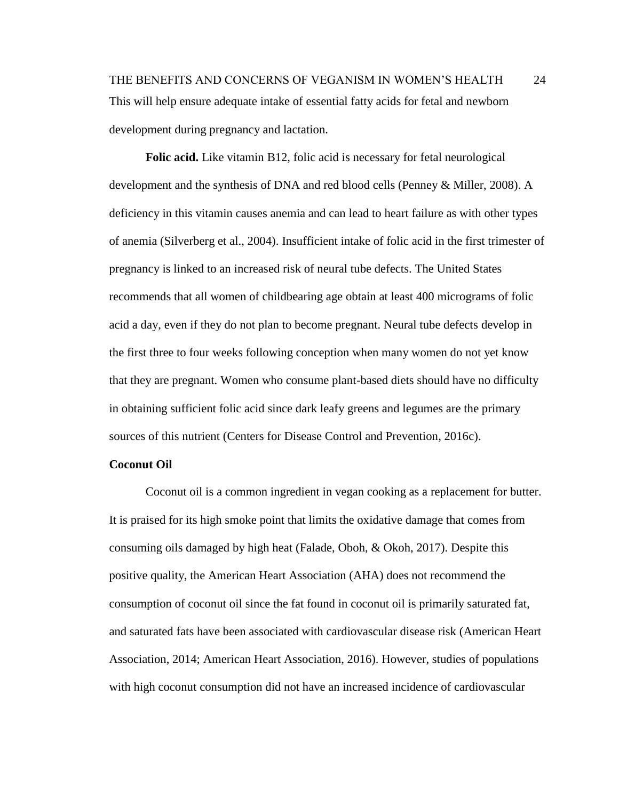THE BENEFITS AND CONCERNS OF VEGANISM IN WOMEN'S HEALTH 24 This will help ensure adequate intake of essential fatty acids for fetal and newborn development during pregnancy and lactation.

**Folic acid.** Like vitamin B12, folic acid is necessary for fetal neurological development and the synthesis of DNA and red blood cells (Penney & Miller, 2008). A deficiency in this vitamin causes anemia and can lead to heart failure as with other types of anemia (Silverberg et al., 2004). Insufficient intake of folic acid in the first trimester of pregnancy is linked to an increased risk of neural tube defects. The United States recommends that all women of childbearing age obtain at least 400 micrograms of folic acid a day, even if they do not plan to become pregnant. Neural tube defects develop in the first three to four weeks following conception when many women do not yet know that they are pregnant. Women who consume plant-based diets should have no difficulty in obtaining sufficient folic acid since dark leafy greens and legumes are the primary sources of this nutrient (Centers for Disease Control and Prevention, 2016c).

## **Coconut Oil**

Coconut oil is a common ingredient in vegan cooking as a replacement for butter. It is praised for its high smoke point that limits the oxidative damage that comes from consuming oils damaged by high heat (Falade, Oboh, & Okoh, 2017). Despite this positive quality, the American Heart Association (AHA) does not recommend the consumption of coconut oil since the fat found in coconut oil is primarily saturated fat, and saturated fats have been associated with cardiovascular disease risk (American Heart Association, 2014; American Heart Association, 2016). However, studies of populations with high coconut consumption did not have an increased incidence of cardiovascular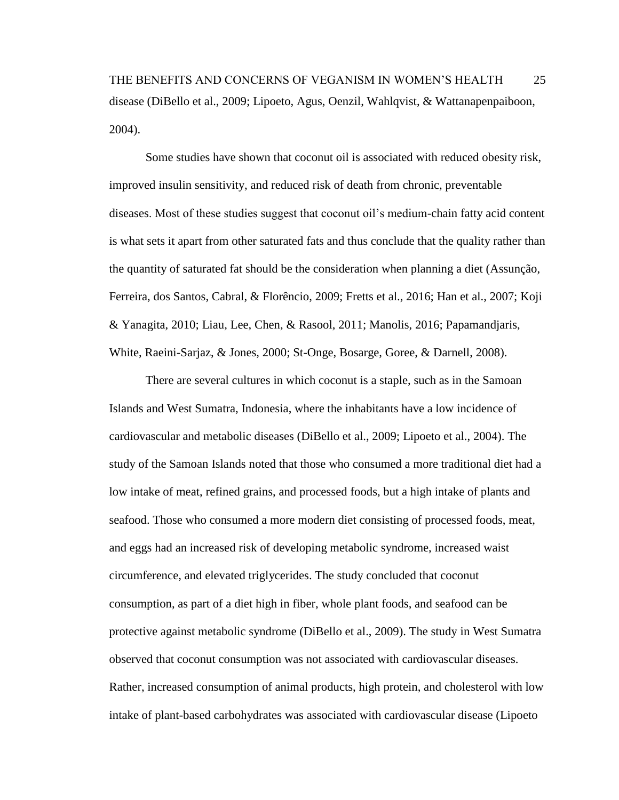THE BENEFITS AND CONCERNS OF VEGANISM IN WOMEN'S HEALTH 25 disease (DiBello et al., 2009; Lipoeto, Agus, Oenzil, Wahlqvist, & Wattanapenpaiboon, 2004).

Some studies have shown that coconut oil is associated with reduced obesity risk, improved insulin sensitivity, and reduced risk of death from chronic, preventable diseases. Most of these studies suggest that coconut oil's medium-chain fatty acid content is what sets it apart from other saturated fats and thus conclude that the quality rather than the quantity of saturated fat should be the consideration when planning a diet (Assunção, Ferreira, dos Santos, Cabral, & Florêncio, 2009; Fretts et al., 2016; Han et al., 2007; Koji & Yanagita, 2010; Liau, Lee, Chen, & Rasool, 2011; Manolis, 2016; Papamandjaris, White, Raeini-Sarjaz, & Jones, 2000; St-Onge, Bosarge, Goree, & Darnell, 2008).

There are several cultures in which coconut is a staple, such as in the Samoan Islands and West Sumatra, Indonesia, where the inhabitants have a low incidence of cardiovascular and metabolic diseases (DiBello et al., 2009; Lipoeto et al., 2004). The study of the Samoan Islands noted that those who consumed a more traditional diet had a low intake of meat, refined grains, and processed foods, but a high intake of plants and seafood. Those who consumed a more modern diet consisting of processed foods, meat, and eggs had an increased risk of developing metabolic syndrome, increased waist circumference, and elevated triglycerides. The study concluded that coconut consumption, as part of a diet high in fiber, whole plant foods, and seafood can be protective against metabolic syndrome (DiBello et al., 2009). The study in West Sumatra observed that coconut consumption was not associated with cardiovascular diseases. Rather, increased consumption of animal products, high protein, and cholesterol with low intake of plant-based carbohydrates was associated with cardiovascular disease (Lipoeto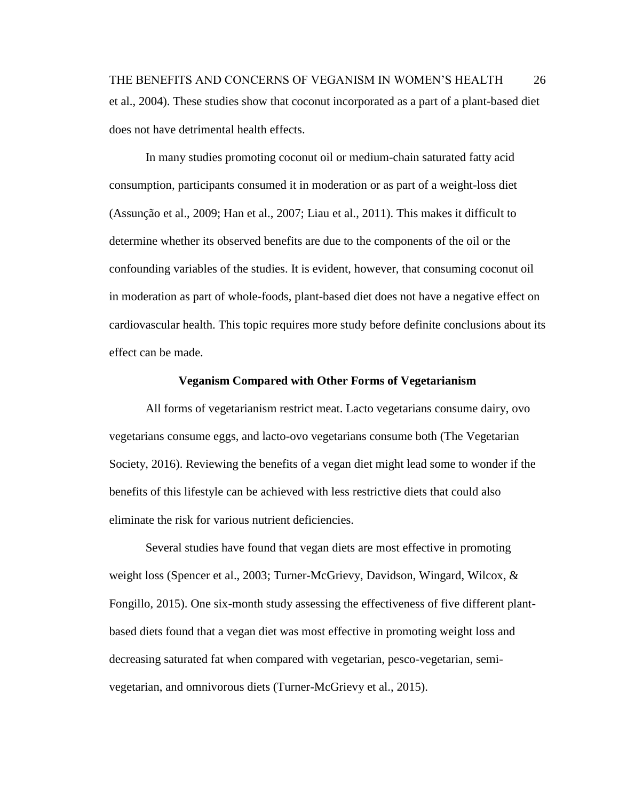THE BENEFITS AND CONCERNS OF VEGANISM IN WOMEN'S HEALTH 26 et al., 2004). These studies show that coconut incorporated as a part of a plant-based diet does not have detrimental health effects.

In many studies promoting coconut oil or medium-chain saturated fatty acid consumption, participants consumed it in moderation or as part of a weight-loss diet (Assunção et al., 2009; Han et al., 2007; Liau et al., 2011). This makes it difficult to determine whether its observed benefits are due to the components of the oil or the confounding variables of the studies. It is evident, however, that consuming coconut oil in moderation as part of whole-foods, plant-based diet does not have a negative effect on cardiovascular health. This topic requires more study before definite conclusions about its effect can be made.

#### **Veganism Compared with Other Forms of Vegetarianism**

All forms of vegetarianism restrict meat. Lacto vegetarians consume dairy, ovo vegetarians consume eggs, and lacto-ovo vegetarians consume both (The Vegetarian Society, 2016). Reviewing the benefits of a vegan diet might lead some to wonder if the benefits of this lifestyle can be achieved with less restrictive diets that could also eliminate the risk for various nutrient deficiencies.

Several studies have found that vegan diets are most effective in promoting weight loss (Spencer et al., 2003; Turner-McGrievy, Davidson, Wingard, Wilcox, & Fongillo, 2015). One six-month study assessing the effectiveness of five different plantbased diets found that a vegan diet was most effective in promoting weight loss and decreasing saturated fat when compared with vegetarian, pesco-vegetarian, semivegetarian, and omnivorous diets (Turner-McGrievy et al., 2015).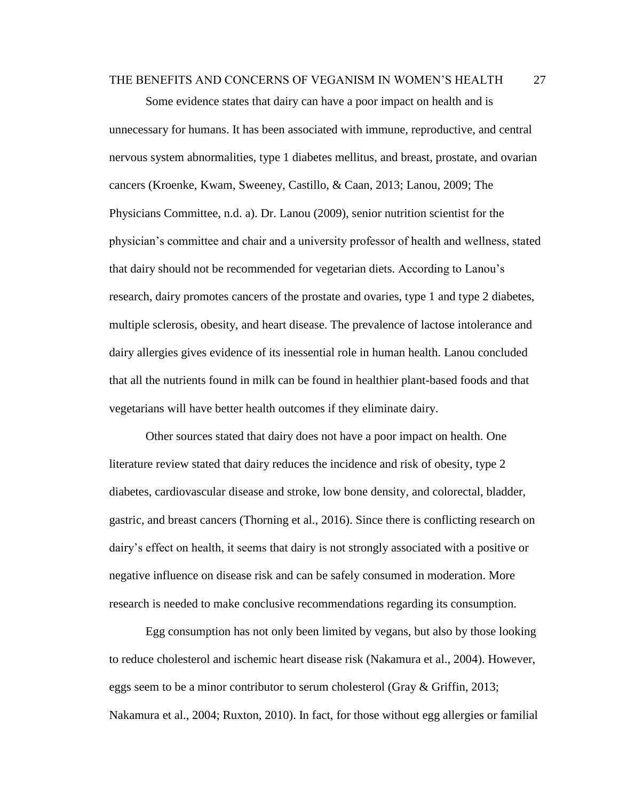THE BENEFITS AND CONCERNS OF VEGANISM IN WOMEN'S HEALTH 27

Some evidence states that dairy can have a poor impact on health and is unnecessary for humans. It has been associated with immune, reproductive, and central nervous system abnormalities, type 1 diabetes mellitus, and breast, prostate, and ovarian cancers (Kroenke, Kwam, Sweeney, Castillo, & Caan, 2013; Lanou, 2009; The Physicians Committee, n.d. a). Dr. Lanou (2009), senior nutrition scientist for the physician's committee and chair and a university professor of health and wellness, stated that dairy should not be recommended for vegetarian diets. According to Lanou's research, dairy promotes cancers of the prostate and ovaries, type 1 and type 2 diabetes, multiple sclerosis, obesity, and heart disease. The prevalence of lactose intolerance and dairy allergies gives evidence of its inessential role in human health. Lanou concluded that all the nutrients found in milk can be found in healthier plant-based foods and that vegetarians will have better health outcomes if they eliminate dairy.

Other sources stated that dairy does not have a poor impact on health. One literature review stated that dairy reduces the incidence and risk of obesity, type 2 diabetes, cardiovascular disease and stroke, low bone density, and colorectal, bladder, gastric, and breast cancers (Thorning et al., 2016). Since there is conflicting research on dairy's effect on health, it seems that dairy is not strongly associated with a positive or negative influence on disease risk and can be safely consumed in moderation. More research is needed to make conclusive recommendations regarding its consumption.

Egg consumption has not only been limited by vegans, but also by those looking to reduce cholesterol and ischemic heart disease risk (Nakamura et al., 2004). However, eggs seem to be a minor contributor to serum cholesterol (Gray & Griffin, 2013; Nakamura et al., 2004; Ruxton, 2010). In fact, for those without egg allergies or familial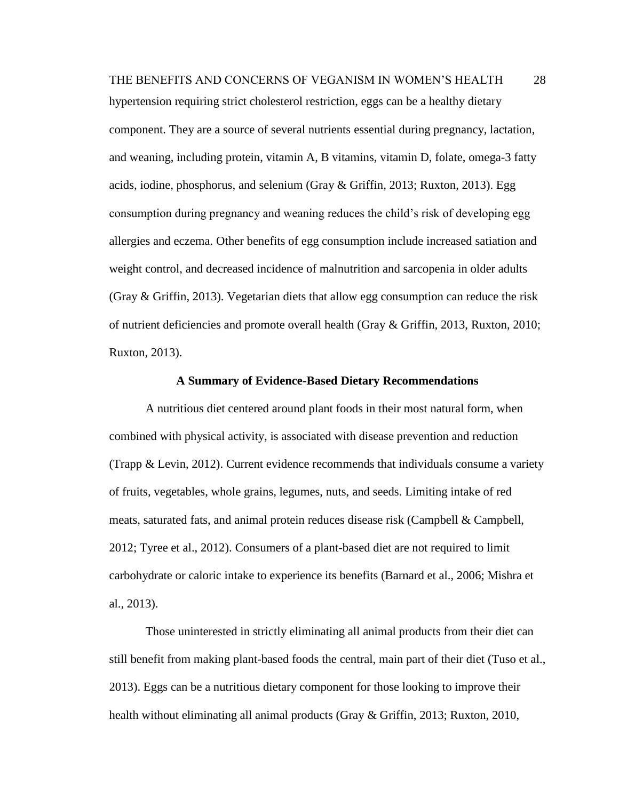THE BENEFITS AND CONCERNS OF VEGANISM IN WOMEN'S HEALTH 28 hypertension requiring strict cholesterol restriction, eggs can be a healthy dietary component. They are a source of several nutrients essential during pregnancy, lactation, and weaning, including protein, vitamin A, B vitamins, vitamin D, folate, omega-3 fatty acids, iodine, phosphorus, and selenium (Gray & Griffin, 2013; Ruxton, 2013). Egg consumption during pregnancy and weaning reduces the child's risk of developing egg allergies and eczema. Other benefits of egg consumption include increased satiation and weight control, and decreased incidence of malnutrition and sarcopenia in older adults (Gray & Griffin, 2013). Vegetarian diets that allow egg consumption can reduce the risk of nutrient deficiencies and promote overall health (Gray & Griffin, 2013, Ruxton, 2010; Ruxton, 2013).

### **A Summary of Evidence-Based Dietary Recommendations**

A nutritious diet centered around plant foods in their most natural form, when combined with physical activity, is associated with disease prevention and reduction (Trapp & Levin, 2012). Current evidence recommends that individuals consume a variety of fruits, vegetables, whole grains, legumes, nuts, and seeds. Limiting intake of red meats, saturated fats, and animal protein reduces disease risk (Campbell & Campbell, 2012; Tyree et al., 2012). Consumers of a plant-based diet are not required to limit carbohydrate or caloric intake to experience its benefits (Barnard et al., 2006; Mishra et al., 2013).

Those uninterested in strictly eliminating all animal products from their diet can still benefit from making plant-based foods the central, main part of their diet (Tuso et al., 2013). Eggs can be a nutritious dietary component for those looking to improve their health without eliminating all animal products (Gray & Griffin, 2013; Ruxton, 2010,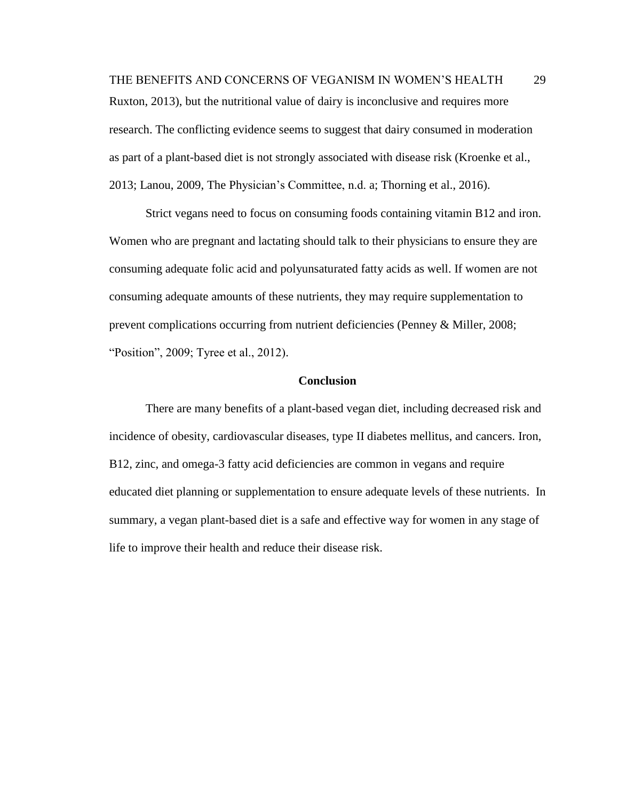THE BENEFITS AND CONCERNS OF VEGANISM IN WOMEN'S HEALTH 29 Ruxton, 2013), but the nutritional value of dairy is inconclusive and requires more research. The conflicting evidence seems to suggest that dairy consumed in moderation as part of a plant-based diet is not strongly associated with disease risk (Kroenke et al., 2013; Lanou, 2009, The Physician's Committee, n.d. a; Thorning et al., 2016).

Strict vegans need to focus on consuming foods containing vitamin B12 and iron. Women who are pregnant and lactating should talk to their physicians to ensure they are consuming adequate folic acid and polyunsaturated fatty acids as well. If women are not consuming adequate amounts of these nutrients, they may require supplementation to prevent complications occurring from nutrient deficiencies (Penney & Miller, 2008; "Position", 2009; Tyree et al., 2012).

### **Conclusion**

There are many benefits of a plant-based vegan diet, including decreased risk and incidence of obesity, cardiovascular diseases, type II diabetes mellitus, and cancers. Iron, B12, zinc, and omega-3 fatty acid deficiencies are common in vegans and require educated diet planning or supplementation to ensure adequate levels of these nutrients. In summary, a vegan plant-based diet is a safe and effective way for women in any stage of life to improve their health and reduce their disease risk.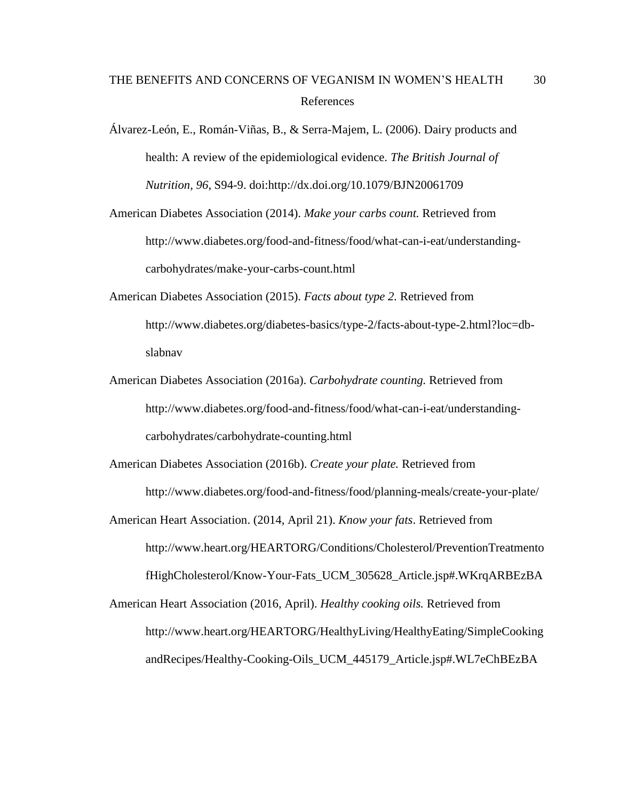# THE BENEFITS AND CONCERNS OF VEGANISM IN WOMEN'S HEALTH 30 References

Álvarez-León, E., Román-Viñas, B., & Serra-Majem, L. (2006). Dairy products and health: A review of the epidemiological evidence. *The British Journal of Nutrition, 96*, S94-9. doi:http://dx.doi.org/10.1079/BJN20061709

American Diabetes Association (2014). *Make your carbs count.* Retrieved from http://www.diabetes.org/food-and-fitness/food/what-can-i-eat/understandingcarbohydrates/make-your-carbs-count.html

- American Diabetes Association (2015). *Facts about type 2.* Retrieved from http://www.diabetes.org/diabetes-basics/type-2/facts-about-type-2.html?loc=dbslabnav
- American Diabetes Association (2016a). *Carbohydrate counting.* Retrieved from http://www.diabetes.org/food-and-fitness/food/what-can-i-eat/understandingcarbohydrates/carbohydrate-counting.html
- American Diabetes Association (2016b). *Create your plate.* Retrieved from http://www.diabetes.org/food-and-fitness/food/planning-meals/create-your-plate/
- American Heart Association. (2014, April 21). *Know your fats*. Retrieved from http://www.heart.org/HEARTORG/Conditions/Cholesterol/PreventionTreatmento fHighCholesterol/Know-Your-Fats\_UCM\_305628\_Article.jsp#.WKrqARBEzBA

American Heart Association (2016, April). *Healthy cooking oils.* Retrieved from http://www.heart.org/HEARTORG/HealthyLiving/HealthyEating/SimpleCooking andRecipes/Healthy-Cooking-Oils\_UCM\_445179\_Article.jsp#.WL7eChBEzBA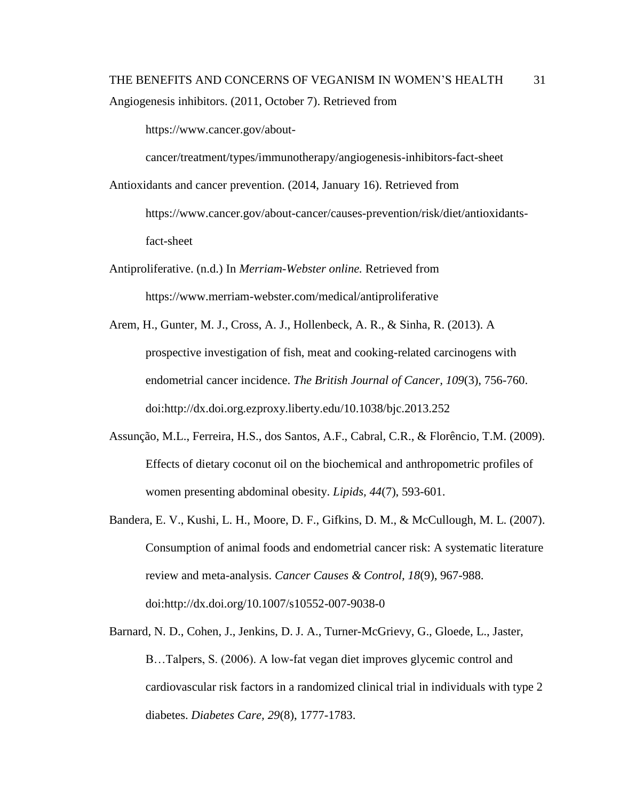https://www.cancer.gov/about-

cancer/treatment/types/immunotherapy/angiogenesis-inhibitors-fact-sheet

Antioxidants and cancer prevention. (2014, January 16). Retrieved from https://www.cancer.gov/about-cancer/causes-prevention/risk/diet/antioxidantsfact-sheet

- Antiproliferative. (n.d.) In *Merriam-Webster online.* Retrieved from https://www.merriam-webster.com/medical/antiproliferative
- Arem, H., Gunter, M. J., Cross, A. J., Hollenbeck, A. R., & Sinha, R. (2013). A prospective investigation of fish, meat and cooking-related carcinogens with endometrial cancer incidence. *The British Journal of Cancer, 109*(3), 756-760. doi:http://dx.doi.org.ezproxy.liberty.edu/10.1038/bjc.2013.252
- Assunção, M.L., Ferreira, H.S., dos Santos, A.F., Cabral, C.R., & Florêncio, T.M. (2009). Effects of dietary coconut oil on the biochemical and anthropometric profiles of women presenting abdominal obesity. *Lipids, 44*(7), 593-601.
- Bandera, E. V., Kushi, L. H., Moore, D. F., Gifkins, D. M., & McCullough, M. L. (2007). Consumption of animal foods and endometrial cancer risk: A systematic literature review and meta-analysis. *Cancer Causes & Control, 18*(9), 967-988. doi:http://dx.doi.org/10.1007/s10552-007-9038-0
- Barnard, N. D., Cohen, J., Jenkins, D. J. A., Turner-McGrievy, G., Gloede, L., Jaster, B…Talpers, S. (2006). A low-fat vegan diet improves glycemic control and cardiovascular risk factors in a randomized clinical trial in individuals with type 2 diabetes. *Diabetes Care, 29*(8), 1777-1783.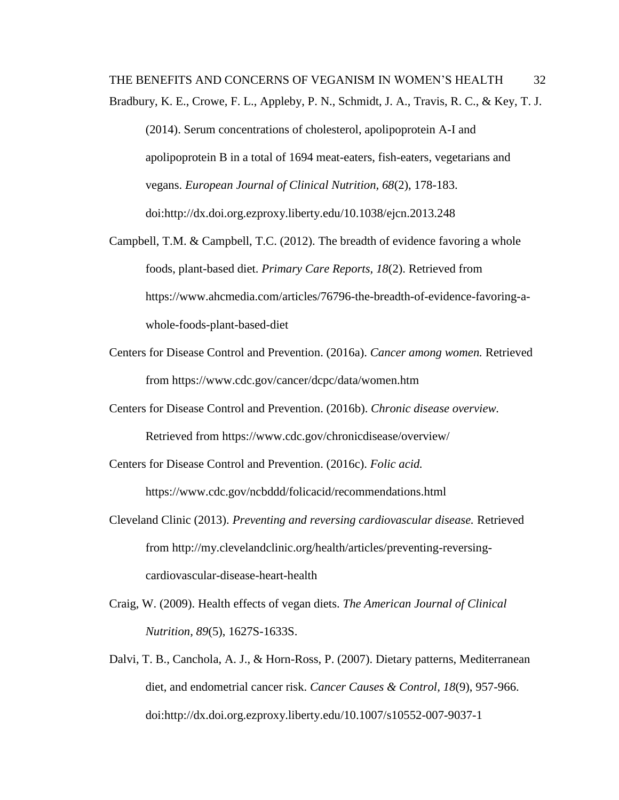(2014). Serum concentrations of cholesterol, apolipoprotein A-I and apolipoprotein B in a total of 1694 meat-eaters, fish-eaters, vegetarians and vegans. *European Journal of Clinical Nutrition, 68*(2), 178-183. doi:http://dx.doi.org.ezproxy.liberty.edu/10.1038/ejcn.2013.248

- Campbell, T.M. & Campbell, T.C. (2012). The breadth of evidence favoring a whole foods, plant-based diet. *Primary Care Reports, 18*(2). Retrieved from https://www.ahcmedia.com/articles/76796-the-breadth-of-evidence-favoring-awhole-foods-plant-based-diet
- Centers for Disease Control and Prevention. (2016a). *Cancer among women.* Retrieved from https://www.cdc.gov/cancer/dcpc/data/women.htm
- Centers for Disease Control and Prevention. (2016b). *Chronic disease overview.*  Retrieved from https://www.cdc.gov/chronicdisease/overview/

Centers for Disease Control and Prevention. (2016c). *Folic acid.*  https://www.cdc.gov/ncbddd/folicacid/recommendations.html

- Cleveland Clinic (2013). *Preventing and reversing cardiovascular disease.* Retrieved from http://my.clevelandclinic.org/health/articles/preventing-reversingcardiovascular-disease-heart-health
- Craig, W. (2009). Health effects of vegan diets. *The American Journal of Clinical Nutrition, 89*(5), 1627S-1633S.
- Dalvi, T. B., Canchola, A. J., & Horn-Ross, P. (2007). Dietary patterns, Mediterranean diet, and endometrial cancer risk. *Cancer Causes & Control, 18*(9), 957-966. doi:http://dx.doi.org.ezproxy.liberty.edu/10.1007/s10552-007-9037-1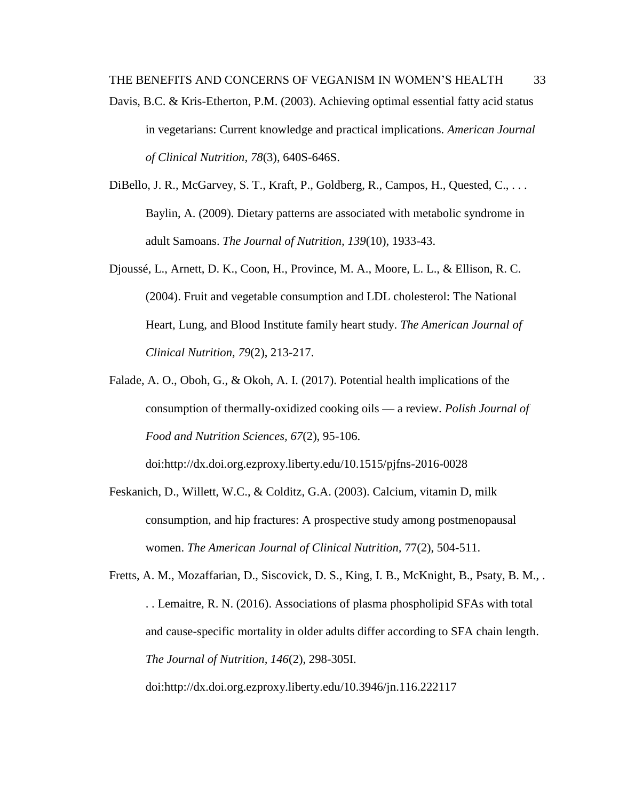THE BENEFITS AND CONCERNS OF VEGANISM IN WOMEN'S HEALTH 33 Davis, B.C. & Kris-Etherton, P.M. (2003). Achieving optimal essential fatty acid status in vegetarians: Current knowledge and practical implications. *American Journal of Clinical Nutrition, 78*(3), 640S-646S.

DiBello, J. R., McGarvey, S. T., Kraft, P., Goldberg, R., Campos, H., Quested, C., ... Baylin, A. (2009). Dietary patterns are associated with metabolic syndrome in adult Samoans. *The Journal of Nutrition, 139*(10), 1933-43.

- Djoussé, L., Arnett, D. K., Coon, H., Province, M. A., Moore, L. L., & Ellison, R. C. (2004). Fruit and vegetable consumption and LDL cholesterol: The National Heart, Lung, and Blood Institute family heart study. *The American Journal of Clinical Nutrition, 79*(2), 213-217.
- Falade, A. O., Oboh, G., & Okoh, A. I. (2017). Potential health implications of the consumption of thermally-oxidized cooking oils — a review. *Polish Journal of Food and Nutrition Sciences, 67*(2), 95-106.

doi:http://dx.doi.org.ezproxy.liberty.edu/10.1515/pjfns-2016-0028

- Feskanich, D., Willett, W.C., & Colditz, G.A. (2003). Calcium, vitamin D, milk consumption, and hip fractures: A prospective study among postmenopausal women. *The American Journal of Clinical Nutrition,* 77(2), 504-511.
- Fretts, A. M., Mozaffarian, D., Siscovick, D. S., King, I. B., McKnight, B., Psaty, B. M., . . . Lemaitre, R. N. (2016). Associations of plasma phospholipid SFAs with total and cause-specific mortality in older adults differ according to SFA chain length. *The Journal of Nutrition, 146*(2), 298-305I.

doi:http://dx.doi.org.ezproxy.liberty.edu/10.3946/jn.116.222117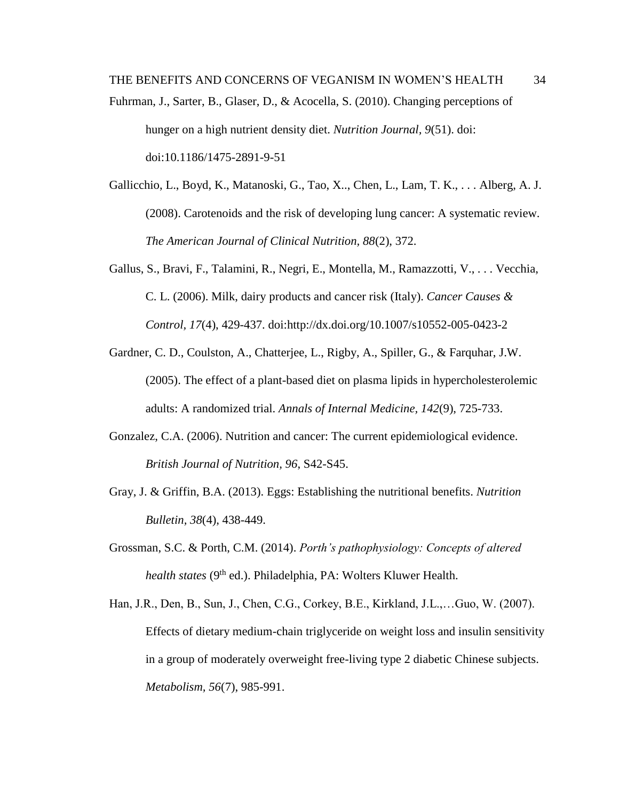THE BENEFITS AND CONCERNS OF VEGANISM IN WOMEN'S HEALTH 34 Fuhrman, J., Sarter, B., Glaser, D., & Acocella, S. (2010). Changing perceptions of hunger on a high nutrient density diet. *Nutrition Journal, 9*(51). doi: doi:10.1186/1475-2891-9-51

Gallicchio, L., Boyd, K., Matanoski, G., Tao, X.., Chen, L., Lam, T. K., . . . Alberg, A. J. (2008). Carotenoids and the risk of developing lung cancer: A systematic review. *The American Journal of Clinical Nutrition, 88*(2), 372.

- Gallus, S., Bravi, F., Talamini, R., Negri, E., Montella, M., Ramazzotti, V., . . . Vecchia, C. L. (2006). Milk, dairy products and cancer risk (Italy). *Cancer Causes & Control, 17*(4), 429-437. doi:http://dx.doi.org/10.1007/s10552-005-0423-2
- Gardner, C. D., Coulston, A., Chatterjee, L., Rigby, A., Spiller, G., & Farquhar, J.W. (2005). The effect of a plant-based diet on plasma lipids in hypercholesterolemic adults: A randomized trial. *Annals of Internal Medicine, 142*(9), 725-733.
- Gonzalez, C.A. (2006). Nutrition and cancer: The current epidemiological evidence. *British Journal of Nutrition, 96*, S42-S45.
- Gray, J. & Griffin, B.A. (2013). Eggs: Establishing the nutritional benefits. *Nutrition Bulletin, 38*(4), 438-449.
- Grossman, S.C. & Porth, C.M. (2014). *Porth's pathophysiology: Concepts of altered health states* (9<sup>th</sup> ed.). Philadelphia, PA: Wolters Kluwer Health.
- Han, J.R., Den, B., Sun, J., Chen, C.G., Corkey, B.E., Kirkland, J.L.,…Guo, W. (2007). Effects of dietary medium-chain triglyceride on weight loss and insulin sensitivity in a group of moderately overweight free-living type 2 diabetic Chinese subjects. *Metabolism, 56*(7), 985-991.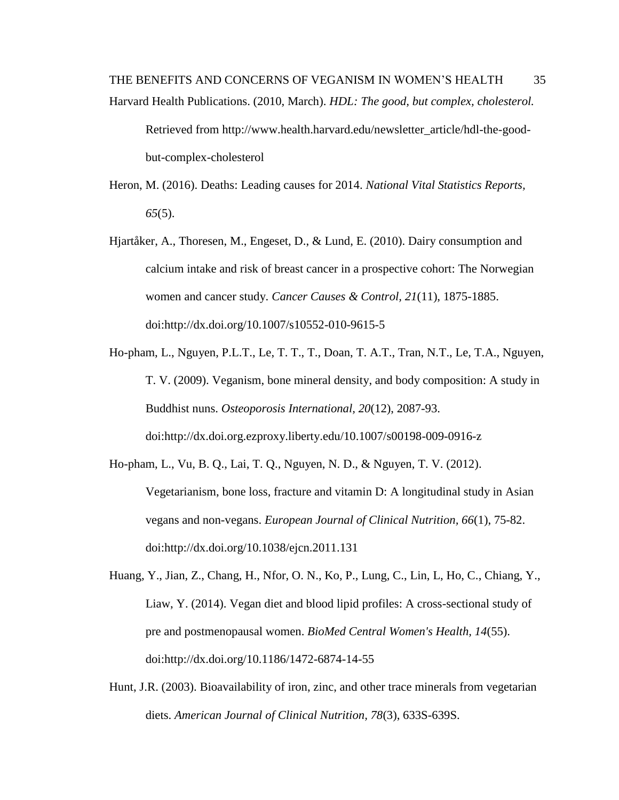Retrieved from http://www.health.harvard.edu/newsletter\_article/hdl-the-goodbut-complex-cholesterol

- Heron, M. (2016). Deaths: Leading causes for 2014. *National Vital Statistics Reports, 65*(5).
- Hjartåker, A., Thoresen, M., Engeset, D., & Lund, E. (2010). Dairy consumption and calcium intake and risk of breast cancer in a prospective cohort: The Norwegian women and cancer study. *Cancer Causes & Control, 21*(11), 1875-1885. doi:http://dx.doi.org/10.1007/s10552-010-9615-5
- Ho-pham, L., Nguyen, P.L.T., Le, T. T., T., Doan, T. A.T., Tran, N.T., Le, T.A., Nguyen, T. V. (2009). Veganism, bone mineral density, and body composition: A study in Buddhist nuns. *Osteoporosis International, 20*(12), 2087-93. doi:http://dx.doi.org.ezproxy.liberty.edu/10.1007/s00198-009-0916-z
- Ho-pham, L., Vu, B. Q., Lai, T. Q., Nguyen, N. D., & Nguyen, T. V. (2012). Vegetarianism, bone loss, fracture and vitamin D: A longitudinal study in Asian vegans and non-vegans. *European Journal of Clinical Nutrition, 66*(1), 75-82. doi:http://dx.doi.org/10.1038/ejcn.2011.131
- Huang, Y., Jian, Z., Chang, H., Nfor, O. N., Ko, P., Lung, C., Lin, L, Ho, C., Chiang, Y., Liaw, Y. (2014). Vegan diet and blood lipid profiles: A cross-sectional study of pre and postmenopausal women. *BioMed Central Women's Health, 14*(55). doi:http://dx.doi.org/10.1186/1472-6874-14-55
- Hunt, J.R. (2003). Bioavailability of iron, zinc, and other trace minerals from vegetarian diets. *American Journal of Clinical Nutrition, 78*(3), 633S-639S.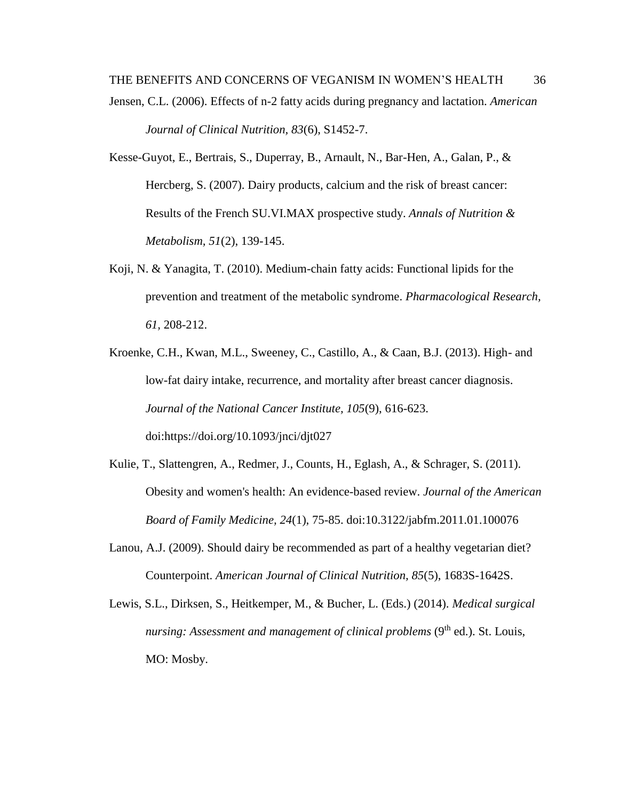Kesse-Guyot, E., Bertrais, S., Duperray, B., Arnault, N., Bar-Hen, A., Galan, P., & Hercberg, S. (2007). Dairy products, calcium and the risk of breast cancer: Results of the French SU.VI.MAX prospective study. *Annals of Nutrition & Metabolism, 51*(2), 139-145.

- Koji, N. & Yanagita, T. (2010). Medium-chain fatty acids: Functional lipids for the prevention and treatment of the metabolic syndrome. *Pharmacological Research, 61,* 208-212.
- Kroenke, C.H., Kwan, M.L., Sweeney, C., Castillo, A., & Caan, B.J. (2013). High- and low-fat dairy intake, recurrence, and mortality after breast cancer diagnosis. *Journal of the National Cancer Institute, 105*(9), 616-623. doi:https://doi.org/10.1093/jnci/djt027
- Kulie, T., Slattengren, A., Redmer, J., Counts, H., Eglash, A., & Schrager, S. (2011). Obesity and women's health: An evidence-based review. *Journal of the American Board of Family Medicine, 24*(1), 75-85. doi:10.3122/jabfm.2011.01.100076
- Lanou, A.J. (2009). Should dairy be recommended as part of a healthy vegetarian diet? Counterpoint. *American Journal of Clinical Nutrition, 85*(5), 1683S-1642S.
- Lewis, S.L., Dirksen, S., Heitkemper, M., & Bucher, L. (Eds.) (2014). *Medical surgical nursing: Assessment and management of clinical problems* (9<sup>th</sup> ed.). St. Louis, MO: Mosby.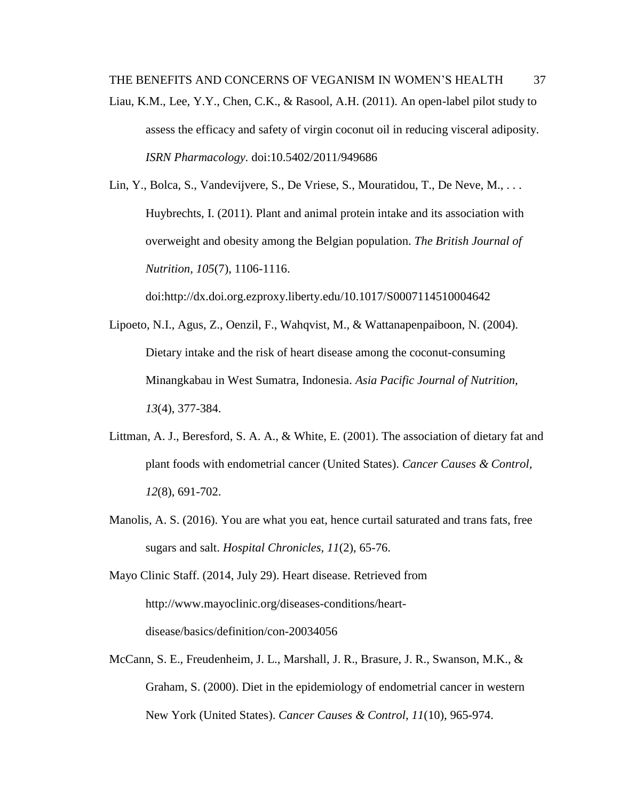Liau, K.M., Lee, Y.Y., Chen, C.K., & Rasool, A.H. (2011). An open-label pilot study to assess the efficacy and safety of virgin coconut oil in reducing visceral adiposity. *ISRN Pharmacology.* doi:10.5402/2011/949686

Lin, Y., Bolca, S., Vandevijvere, S., De Vriese, S., Mouratidou, T., De Neve, M., . . . Huybrechts, I. (2011). Plant and animal protein intake and its association with overweight and obesity among the Belgian population. *The British Journal of Nutrition, 105*(7), 1106-1116.

doi:http://dx.doi.org.ezproxy.liberty.edu/10.1017/S0007114510004642

- Lipoeto, N.I., Agus, Z., Oenzil, F., Wahqvist, M., & Wattanapenpaiboon, N. (2004). Dietary intake and the risk of heart disease among the coconut-consuming Minangkabau in West Sumatra, Indonesia. *Asia Pacific Journal of Nutrition, 13*(4), 377-384.
- Littman, A. J., Beresford, S. A. A., & White, E. (2001). The association of dietary fat and plant foods with endometrial cancer (United States). *Cancer Causes & Control, 12*(8), 691-702.
- Manolis, A. S. (2016). You are what you eat, hence curtail saturated and trans fats, free sugars and salt. *Hospital Chronicles, 11*(2), 65-76.

Mayo Clinic Staff. (2014, July 29). Heart disease. Retrieved from http://www.mayoclinic.org/diseases-conditions/heartdisease/basics/definition/con-20034056

McCann, S. E., Freudenheim, J. L., Marshall, J. R., Brasure, J. R., Swanson, M.K., & Graham, S. (2000). Diet in the epidemiology of endometrial cancer in western New York (United States). *Cancer Causes & Control, 11*(10), 965-974.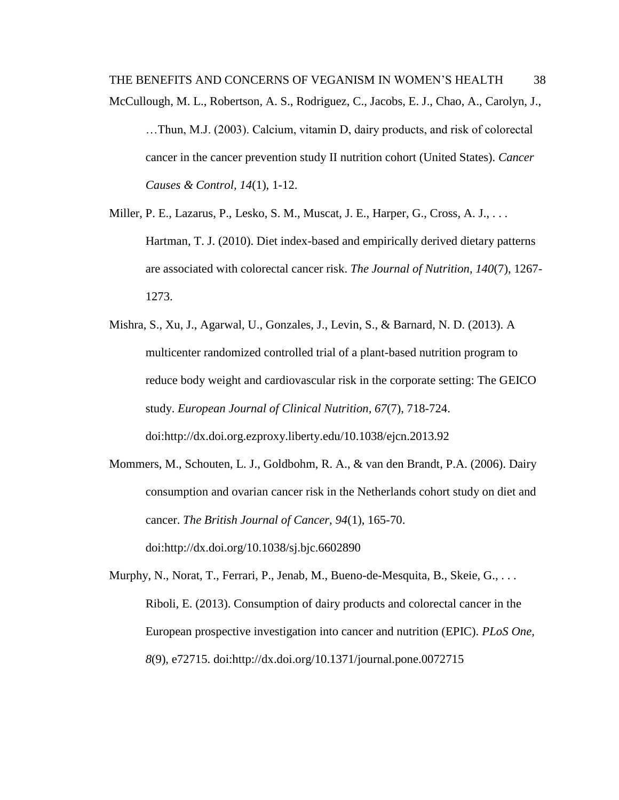- THE BENEFITS AND CONCERNS OF VEGANISM IN WOMEN'S HEALTH 38 McCullough, M. L., Robertson, A. S., Rodriguez, C., Jacobs, E. J., Chao, A., Carolyn, J., …Thun, M.J. (2003). Calcium, vitamin D, dairy products, and risk of colorectal cancer in the cancer prevention study II nutrition cohort (United States). *Cancer Causes & Control, 14*(1), 1-12.
- Miller, P. E., Lazarus, P., Lesko, S. M., Muscat, J. E., Harper, G., Cross, A. J., . . . Hartman, T. J. (2010). Diet index-based and empirically derived dietary patterns are associated with colorectal cancer risk. *The Journal of Nutrition, 140*(7), 1267- 1273.
- Mishra, S., Xu, J., Agarwal, U., Gonzales, J., Levin, S., & Barnard, N. D. (2013). A multicenter randomized controlled trial of a plant-based nutrition program to reduce body weight and cardiovascular risk in the corporate setting: The GEICO study. *European Journal of Clinical Nutrition, 67*(7), 718-724. doi:http://dx.doi.org.ezproxy.liberty.edu/10.1038/ejcn.2013.92
- Mommers, M., Schouten, L. J., Goldbohm, R. A., & van den Brandt, P.A. (2006). Dairy consumption and ovarian cancer risk in the Netherlands cohort study on diet and cancer. *The British Journal of Cancer, 94*(1), 165-70. doi:http://dx.doi.org/10.1038/sj.bjc.6602890
- Murphy, N., Norat, T., Ferrari, P., Jenab, M., Bueno-de-Mesquita, B., Skeie, G., . . . Riboli, E. (2013). Consumption of dairy products and colorectal cancer in the European prospective investigation into cancer and nutrition (EPIC). *PLoS One, 8*(9), e72715. doi:http://dx.doi.org/10.1371/journal.pone.0072715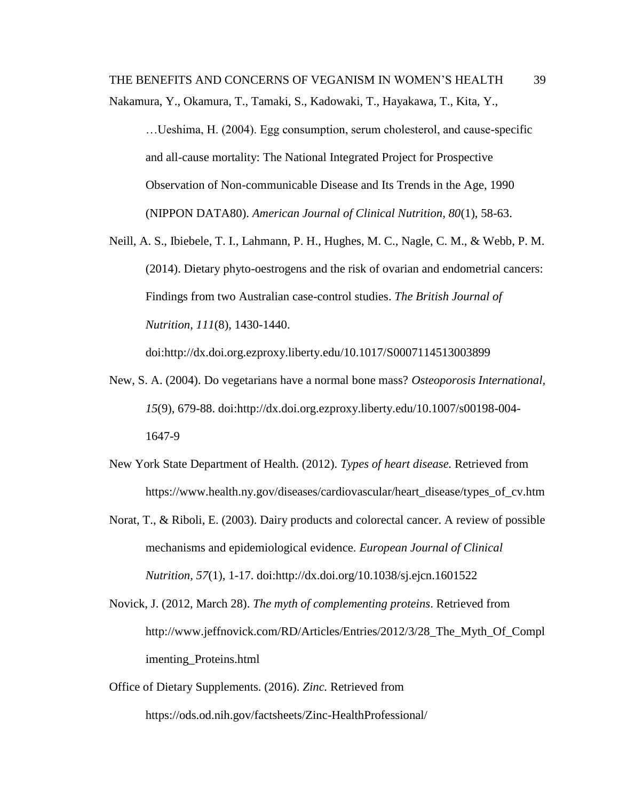…Ueshima, H. (2004). Egg consumption, serum cholesterol, and cause-specific and all-cause mortality: The National Integrated Project for Prospective Observation of Non-communicable Disease and Its Trends in the Age, 1990 (NIPPON DATA80). *American Journal of Clinical Nutrition, 80*(1), 58-63.

Neill, A. S., Ibiebele, T. I., Lahmann, P. H., Hughes, M. C., Nagle, C. M., & Webb, P. M. (2014). Dietary phyto-oestrogens and the risk of ovarian and endometrial cancers: Findings from two Australian case-control studies. *The British Journal of Nutrition, 111*(8), 1430-1440.

doi:http://dx.doi.org.ezproxy.liberty.edu/10.1017/S0007114513003899

- New, S. A. (2004). Do vegetarians have a normal bone mass? *Osteoporosis International, 15*(9), 679-88. doi:http://dx.doi.org.ezproxy.liberty.edu/10.1007/s00198-004- 1647-9
- New York State Department of Health. (2012). *Types of heart disease.* Retrieved from https://www.health.ny.gov/diseases/cardiovascular/heart\_disease/types\_of\_cv.htm
- Norat, T., & Riboli, E. (2003). Dairy products and colorectal cancer. A review of possible mechanisms and epidemiological evidence. *European Journal of Clinical Nutrition, 57*(1), 1-17. doi:http://dx.doi.org/10.1038/sj.ejcn.1601522
- Novick, J. (2012, March 28). *The myth of complementing proteins*. Retrieved from http://www.jeffnovick.com/RD/Articles/Entries/2012/3/28\_The\_Myth\_Of\_Compl imenting\_Proteins.html
- Office of Dietary Supplements. (2016). *Zinc.* Retrieved from https://ods.od.nih.gov/factsheets/Zinc-HealthProfessional/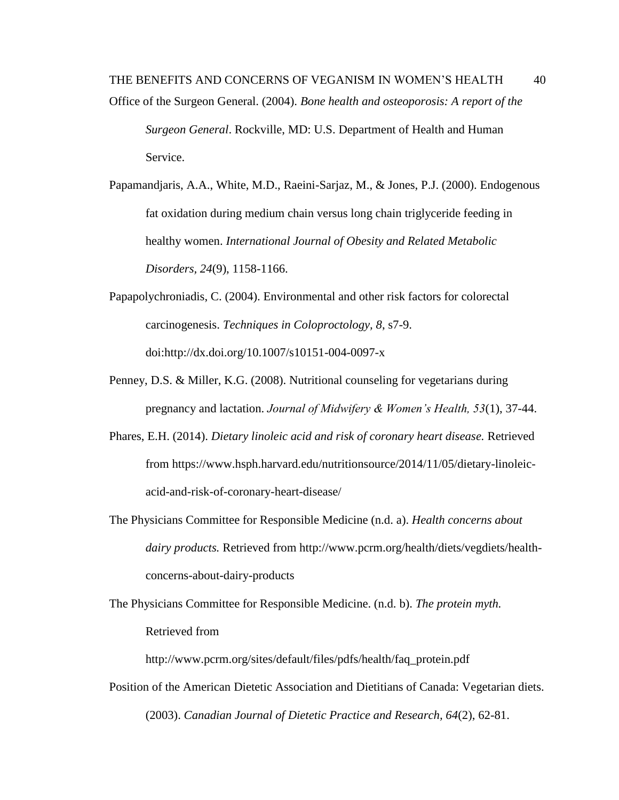THE BENEFITS AND CONCERNS OF VEGANISM IN WOMEN'S HEALTH 40 Office of the Surgeon General. (2004). *Bone health and osteoporosis: A report of the Surgeon General*. Rockville, MD: U.S. Department of Health and Human Service.

Papamandjaris, A.A., White, M.D., Raeini-Sarjaz, M., & Jones, P.J. (2000). Endogenous fat oxidation during medium chain versus long chain triglyceride feeding in healthy women. *International Journal of Obesity and Related Metabolic Disorders, 24*(9), 1158-1166.

- Papapolychroniadis, C. (2004). Environmental and other risk factors for colorectal carcinogenesis. *Techniques in Coloproctology, 8*, s7-9. doi:http://dx.doi.org/10.1007/s10151-004-0097-x
- Penney, D.S. & Miller, K.G. (2008). Nutritional counseling for vegetarians during pregnancy and lactation. *Journal of Midwifery & Women's Health, 53*(1), 37-44.
- Phares, E.H. (2014). *Dietary linoleic acid and risk of coronary heart disease.* Retrieved from https://www.hsph.harvard.edu/nutritionsource/2014/11/05/dietary-linoleicacid-and-risk-of-coronary-heart-disease/
- The Physicians Committee for Responsible Medicine (n.d. a). *Health concerns about dairy products.* Retrieved from http://www.pcrm.org/health/diets/vegdiets/healthconcerns-about-dairy-products

The Physicians Committee for Responsible Medicine. (n.d. b). *The protein myth.*  Retrieved from

http://www.pcrm.org/sites/default/files/pdfs/health/faq\_protein.pdf

Position of the American Dietetic Association and Dietitians of Canada: Vegetarian diets. (2003). *Canadian Journal of Dietetic Practice and Research, 64*(2), 62-81.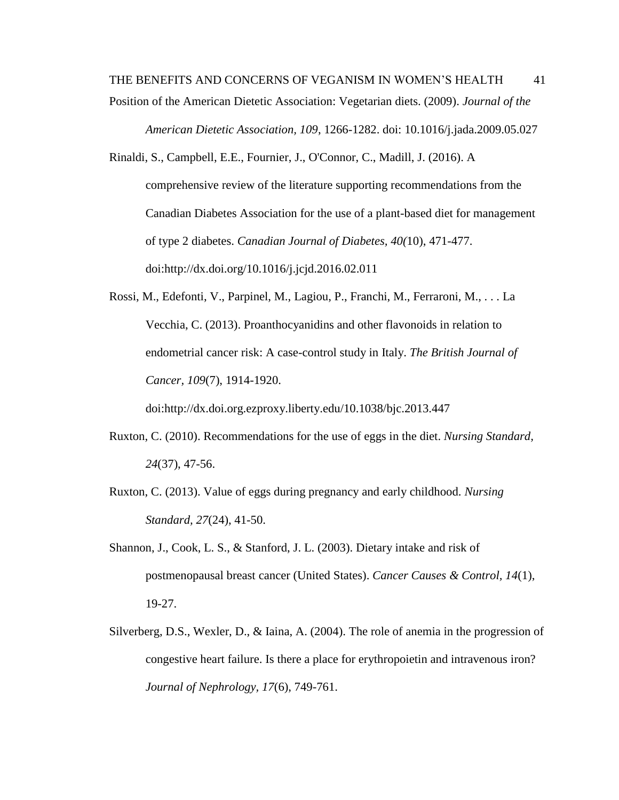THE BENEFITS AND CONCERNS OF VEGANISM IN WOMEN'S HEALTH 41 Position of the American Dietetic Association: Vegetarian diets. (2009). *Journal of the* 

*American Dietetic Association, 109*, 1266-1282. doi: 10.1016/j.jada.2009.05.027

Rinaldi, S., Campbell, E.E., Fournier, J., O'Connor, C., Madill, J. (2016). A comprehensive review of the literature supporting recommendations from the Canadian Diabetes Association for the use of a plant-based diet for management of type 2 diabetes. *Canadian Journal of Diabetes, 40(*10), 471-477. doi:http://dx.doi.org/10.1016/j.jcjd.2016.02.011

Rossi, M., Edefonti, V., Parpinel, M., Lagiou, P., Franchi, M., Ferraroni, M., . . . La Vecchia, C. (2013). Proanthocyanidins and other flavonoids in relation to endometrial cancer risk: A case-control study in Italy. *The British Journal of Cancer, 109*(7), 1914-1920.

doi:http://dx.doi.org.ezproxy.liberty.edu/10.1038/bjc.2013.447

- Ruxton, C. (2010). Recommendations for the use of eggs in the diet. *Nursing Standard, 24*(37), 47-56.
- Ruxton, C. (2013). Value of eggs during pregnancy and early childhood. *Nursing Standard, 27*(24), 41-50.
- Shannon, J., Cook, L. S., & Stanford, J. L. (2003). Dietary intake and risk of postmenopausal breast cancer (United States). *Cancer Causes & Control, 14*(1), 19-27.
- Silverberg, D.S., Wexler, D., & Iaina, A. (2004). The role of anemia in the progression of congestive heart failure. Is there a place for erythropoietin and intravenous iron? *Journal of Nephrology, 17*(6), 749-761.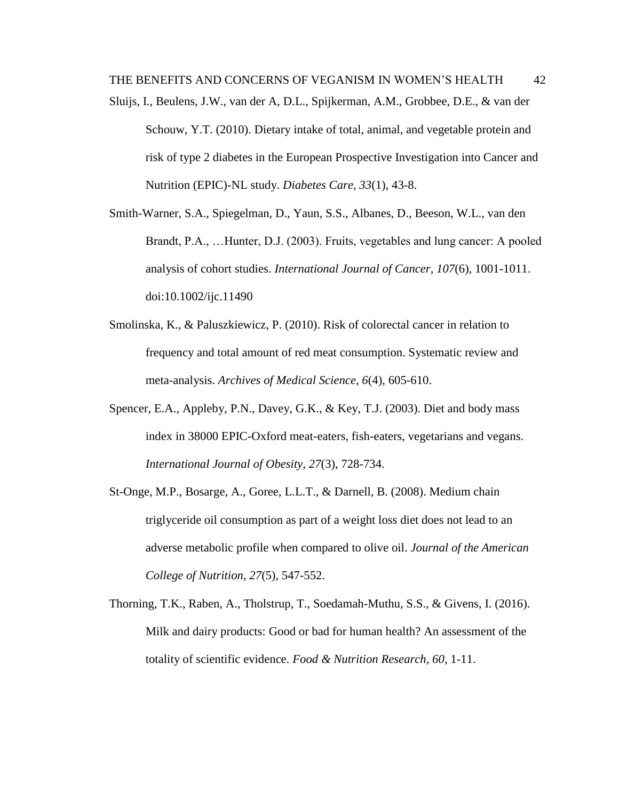THE BENEFITS AND CONCERNS OF VEGANISM IN WOMEN'S HEALTH 42

- Sluijs, I., Beulens, J.W., van der A, D.L., Spijkerman, A.M., Grobbee, D.E., & van der Schouw, Y.T. (2010). Dietary intake of total, animal, and vegetable protein and risk of type 2 diabetes in the European Prospective Investigation into Cancer and Nutrition (EPIC)-NL study. *Diabetes Care, 33*(1), 43-8.
- Smith-Warner, S.A., Spiegelman, D., Yaun, S.S., Albanes, D., Beeson, W.L., van den Brandt, P.A., …Hunter, D.J. (2003). Fruits, vegetables and lung cancer: A pooled analysis of cohort studies. *International Journal of Cancer, 107*(6), 1001-1011. doi:10.1002/ijc.11490
- Smolinska, K., & Paluszkiewicz, P. (2010). Risk of colorectal cancer in relation to frequency and total amount of red meat consumption. Systematic review and meta-analysis. *Archives of Medical Science, 6*(4), 605-610.
- Spencer, E.A., Appleby, P.N., Davey, G.K., & Key, T.J. (2003). Diet and body mass index in 38000 EPIC-Oxford meat-eaters, fish-eaters, vegetarians and vegans. *International Journal of Obesity, 27*(3), 728-734.
- St-Onge, M.P., Bosarge, A., Goree, L.L.T., & Darnell, B. (2008). Medium chain triglyceride oil consumption as part of a weight loss diet does not lead to an adverse metabolic profile when compared to olive oil. *Journal of the American College of Nutrition, 27*(5), 547-552.
- Thorning, T.K., Raben, A., Tholstrup, T., Soedamah-Muthu, S.S., & Givens, I. (2016). Milk and dairy products: Good or bad for human health? An assessment of the totality of scientific evidence. *Food & Nutrition Research, 60*, 1-11.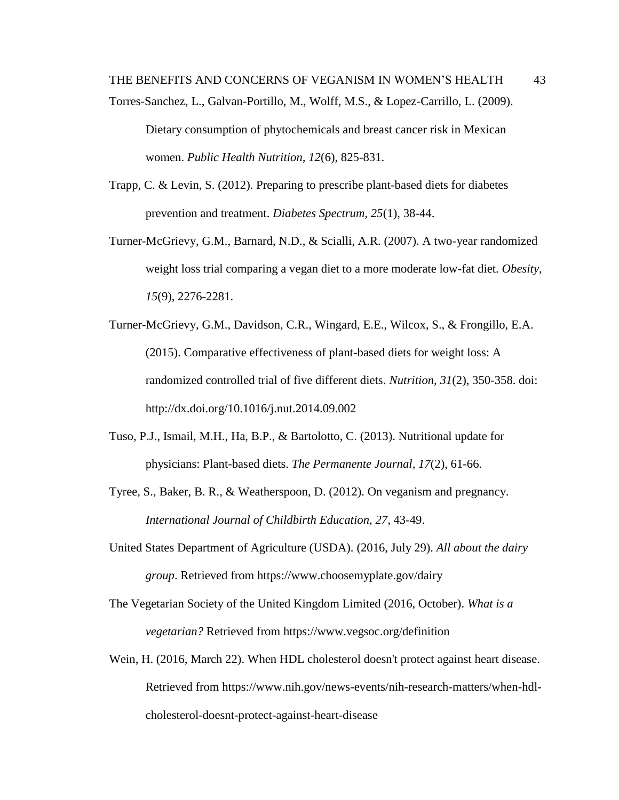THE BENEFITS AND CONCERNS OF VEGANISM IN WOMEN'S HEALTH 43 Torres-Sanchez, L., Galvan-Portillo, M., Wolff, M.S., & Lopez-Carrillo, L. (2009).

Dietary consumption of phytochemicals and breast cancer risk in Mexican women. *Public Health Nutrition, 12*(6), 825-831.

- Trapp, C. & Levin, S. (2012). Preparing to prescribe plant-based diets for diabetes prevention and treatment. *Diabetes Spectrum, 25*(1), 38-44.
- Turner-McGrievy, G.M., Barnard, N.D., & Scialli, A.R. (2007). A two-year randomized weight loss trial comparing a vegan diet to a more moderate low-fat diet. *Obesity, 15*(9), 2276-2281.
- Turner-McGrievy, G.M., Davidson, C.R., Wingard, E.E., Wilcox, S., & Frongillo, E.A. (2015). Comparative effectiveness of plant-based diets for weight loss: A randomized controlled trial of five different diets. *Nutrition, 31*(2), 350-358. doi: http://dx.doi.org/10.1016/j.nut.2014.09.002
- Tuso, P.J., Ismail, M.H., Ha, B.P., & Bartolotto, C. (2013). Nutritional update for physicians: Plant-based diets. *The Permanente Journal, 17*(2), 61-66.
- Tyree, S., Baker, B. R., & Weatherspoon, D. (2012). On veganism and pregnancy. *International Journal of Childbirth Education, 27*, 43-49.
- United States Department of Agriculture (USDA). (2016, July 29). *All about the dairy group*. Retrieved from https://www.choosemyplate.gov/dairy
- The Vegetarian Society of the United Kingdom Limited (2016, October). *What is a vegetarian?* Retrieved from https://www.vegsoc.org/definition
- Wein, H. (2016, March 22). When HDL cholesterol doesn't protect against heart disease. Retrieved from https://www.nih.gov/news-events/nih-research-matters/when-hdlcholesterol-doesnt-protect-against-heart-disease